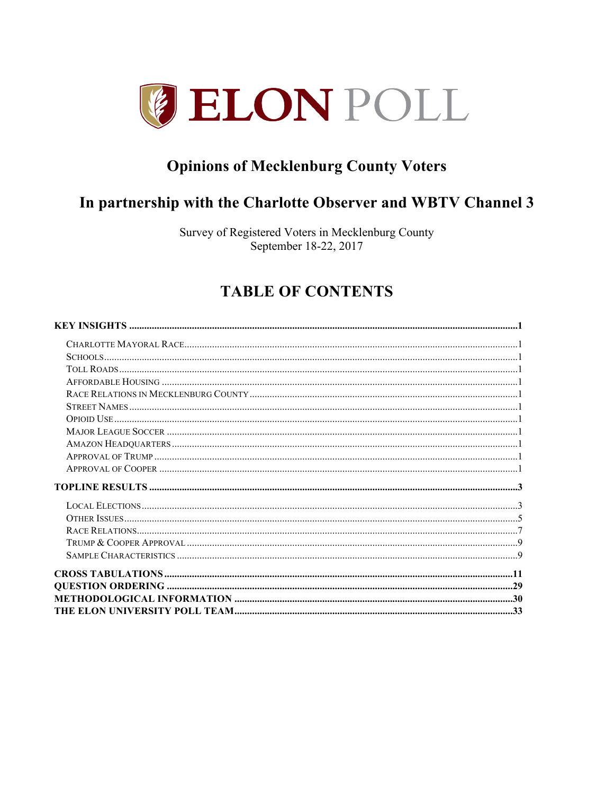

# **Opinions of Mecklenburg County Voters**

# In partnership with the Charlotte Observer and WBTV Channel 3

Survey of Registered Voters in Mecklenburg County September 18-22, 2017

# **TABLE OF CONTENTS**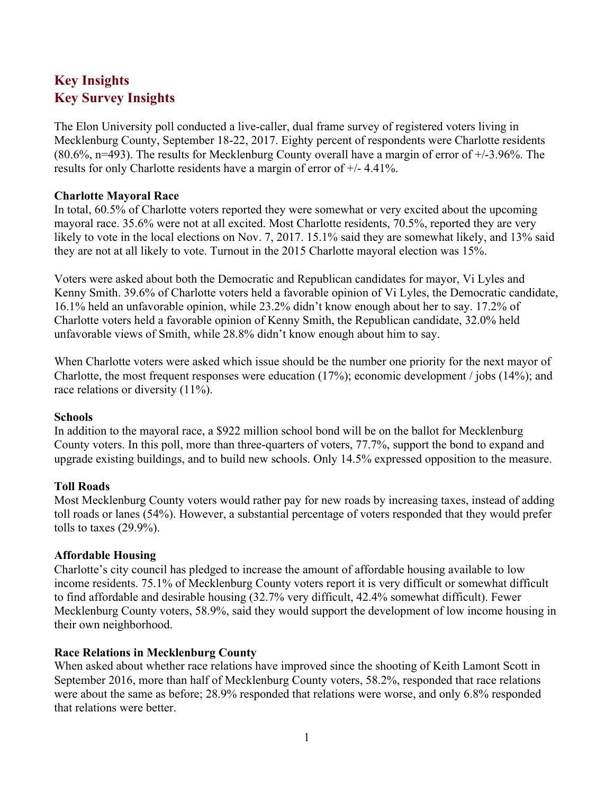# **Key Insights Key Survey Insights**

The Elon University poll conducted a live-caller, dual frame survey of registered voters living in Mecklenburg County, September 18-22, 2017. Eighty percent of respondents were Charlotte residents  $(80.6\%$ , n=493). The results for Mecklenburg County overall have a margin of error of  $+/3.96\%$ . The results for only Charlotte residents have a margin of error of +/- 4.41%.

### **Charlotte Mayoral Race**

In total, 60.5% of Charlotte voters reported they were somewhat or very excited about the upcoming mayoral race. 35.6% were not at all excited. Most Charlotte residents, 70.5%, reported they are very likely to vote in the local elections on Nov. 7, 2017. 15.1% said they are somewhat likely, and 13% said they are not at all likely to vote. Turnout in the 2015 Charlotte mayoral election was 15%.

Voters were asked about both the Democratic and Republican candidates for mayor, Vi Lyles and Kenny Smith. 39.6% of Charlotte voters held a favorable opinion of Vi Lyles, the Democratic candidate, 16.1% held an unfavorable opinion, while 23.2% didn't know enough about her to say. 17.2% of Charlotte voters held a favorable opinion of Kenny Smith, the Republican candidate, 32.0% held unfavorable views of Smith, while 28.8% didn't know enough about him to say.

When Charlotte voters were asked which issue should be the number one priority for the next mayor of Charlotte, the most frequent responses were education (17%); economic development / jobs (14%); and race relations or diversity  $(11\%)$ .

### **Schools**

In addition to the mayoral race, a \$922 million school bond will be on the ballot for Mecklenburg County voters. In this poll, more than three-quarters of voters, 77.7%, support the bond to expand and upgrade existing buildings, and to build new schools. Only 14.5% expressed opposition to the measure.

### **Toll Roads**

Most Mecklenburg County voters would rather pay for new roads by increasing taxes, instead of adding toll roads or lanes (54%). However, a substantial percentage of voters responded that they would prefer tolls to taxes (29.9%).

### **Affordable Housing**

Charlotte's city council has pledged to increase the amount of affordable housing available to low income residents. 75.1% of Mecklenburg County voters report it is very difficult or somewhat difficult to find affordable and desirable housing (32.7% very difficult, 42.4% somewhat difficult). Fewer Mecklenburg County voters, 58.9%, said they would support the development of low income housing in their own neighborhood.

### **Race Relations in Mecklenburg County**

When asked about whether race relations have improved since the shooting of Keith Lamont Scott in September 2016, more than half of Mecklenburg County voters, 58.2%, responded that race relations were about the same as before; 28.9% responded that relations were worse, and only 6.8% responded that relations were better.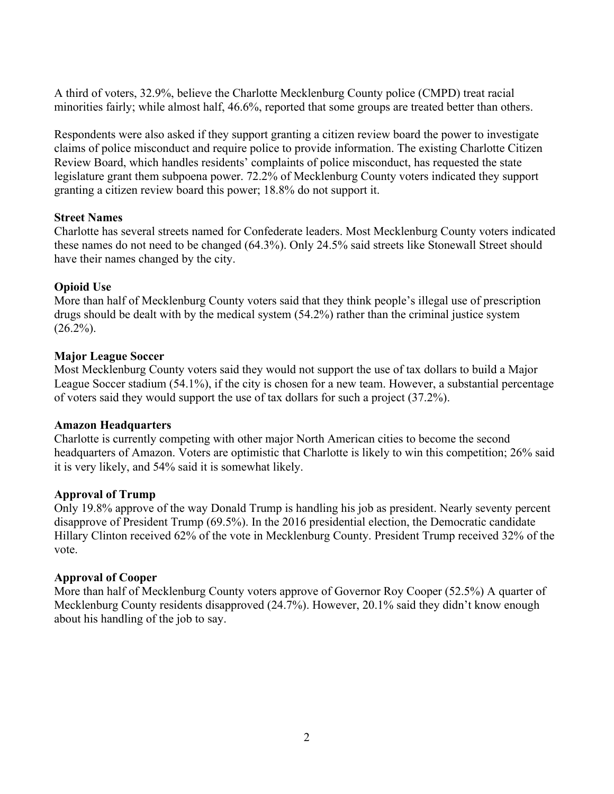A third of voters, 32.9%, believe the Charlotte Mecklenburg County police (CMPD) treat racial minorities fairly; while almost half, 46.6%, reported that some groups are treated better than others.

Respondents were also asked if they support granting a citizen review board the power to investigate claims of police misconduct and require police to provide information. The existing Charlotte Citizen Review Board, which handles residents' complaints of police misconduct, has requested the state legislature grant them subpoena power. 72.2% of Mecklenburg County voters indicated they support granting a citizen review board this power; 18.8% do not support it.

### **Street Names**

Charlotte has several streets named for Confederate leaders. Most Mecklenburg County voters indicated these names do not need to be changed (64.3%). Only 24.5% said streets like Stonewall Street should have their names changed by the city.

### **Opioid Use**

More than half of Mecklenburg County voters said that they think people's illegal use of prescription drugs should be dealt with by the medical system (54.2%) rather than the criminal justice system  $(26.2\%)$ .

### **Major League Soccer**

Most Mecklenburg County voters said they would not support the use of tax dollars to build a Major League Soccer stadium (54.1%), if the city is chosen for a new team. However, a substantial percentage of voters said they would support the use of tax dollars for such a project (37.2%).

### **Amazon Headquarters**

Charlotte is currently competing with other major North American cities to become the second headquarters of Amazon. Voters are optimistic that Charlotte is likely to win this competition; 26% said it is very likely, and 54% said it is somewhat likely.

### **Approval of Trump**

Only 19.8% approve of the way Donald Trump is handling his job as president. Nearly seventy percent disapprove of President Trump (69.5%). In the 2016 presidential election, the Democratic candidate Hillary Clinton received 62% of the vote in Mecklenburg County. President Trump received 32% of the vote.

### **Approval of Cooper**

More than half of Mecklenburg County voters approve of Governor Roy Cooper (52.5%) A quarter of Mecklenburg County residents disapproved (24.7%). However, 20.1% said they didn't know enough about his handling of the job to say.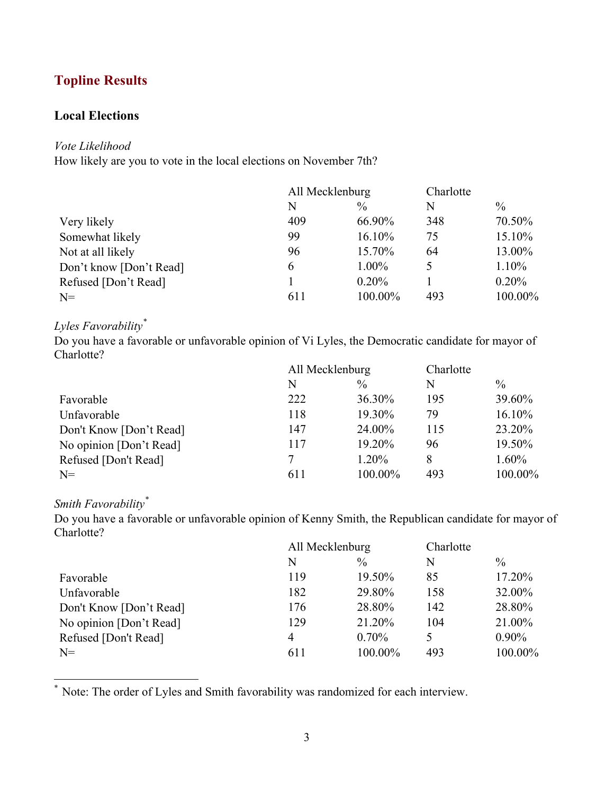# **Topline Results**

## **Local Elections**

### *Vote Likelihood*

How likely are you to vote in the local elections on November 7th?

|                         | All Mecklenburg |         | Charlotte |               |
|-------------------------|-----------------|---------|-----------|---------------|
|                         | N               | $\%$    | N         | $\frac{0}{0}$ |
| Very likely             | 409             | 66.90%  | 348       | 70.50%        |
| Somewhat likely         | 99              | 16.10%  | 75        | 15.10%        |
| Not at all likely       | 96              | 15.70%  | 64        | 13.00%        |
| Don't know [Don't Read] | 6               | 1.00%   | 5         | 1.10%         |
| Refused [Don't Read]    |                 | 0.20%   |           | 0.20%         |
| $N=$                    | 611             | 100.00% | 493       | 100.00%       |

## *Lyles Favorability\**

Do you have a favorable or unfavorable opinion of Vi Lyles, the Democratic candidate for mayor of Charlotte?

|                         | All Mecklenburg |               | Charlotte |               |
|-------------------------|-----------------|---------------|-----------|---------------|
|                         | N               | $\frac{0}{0}$ | N         | $\frac{0}{0}$ |
| Favorable               | 222             | 36.30%        | 195       | 39.60%        |
| Unfavorable             | 118             | 19.30%        | 79        | 16.10%        |
| Don't Know [Don't Read] | 147             | 24.00%        | 115       | 23.20%        |
| No opinion [Don't Read] | 117             | 19.20%        | 96        | 19.50%        |
| Refused [Don't Read]    | 7               | 1.20%         | 8         | 1.60%         |
| $N=$                    | 611             | 100.00%       | 493       | 100.00%       |

# *Smith Favorability\**

Do you have a favorable or unfavorable opinion of Kenny Smith, the Republican candidate for mayor of Charlotte?

|                         | All Mecklenburg |               | Charlotte |               |
|-------------------------|-----------------|---------------|-----------|---------------|
|                         | N               | $\frac{0}{0}$ | N         | $\frac{0}{0}$ |
| Favorable               | 119             | 19.50%        | 85        | 17.20%        |
| Unfavorable             | 182             | 29.80%        | 158       | 32.00%        |
| Don't Know [Don't Read] | 176             | 28.80%        | 142       | 28.80%        |
| No opinion [Don't Read] | 129             | 21.20%        | 104       | 21.00%        |
| Refused [Don't Read]    | 4               | $0.70\%$      |           | $0.90\%$      |
| $N=$                    | 611             | 100.00%       | 493       | 100.00%       |

\* Note: The order of Lyles and Smith favorability was randomized for each interview.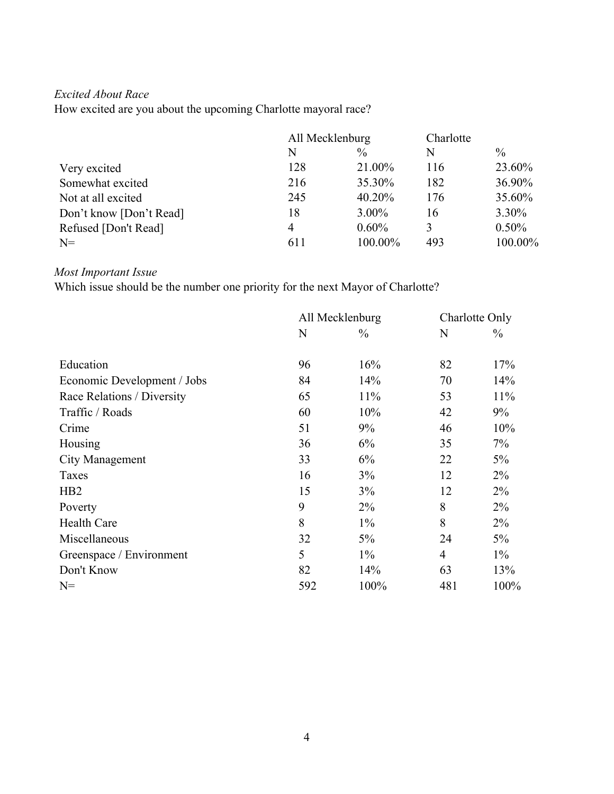## *Excited About Race*

How excited are you about the upcoming Charlotte mayoral race?

|                         | All Mecklenburg |          | Charlotte |          |
|-------------------------|-----------------|----------|-----------|----------|
|                         | N               | $\%$     | N         | $\%$     |
| Very excited            | 128             | 21.00%   | 116       | 23.60%   |
| Somewhat excited        | 216             | 35.30%   | 182       | 36.90%   |
| Not at all excited      | 245             | 40.20%   | 176       | 35.60%   |
| Don't know [Don't Read] | 18              | $3.00\%$ | 16        | 3.30%    |
| Refused [Don't Read]    | 4               | $0.60\%$ | 3         | $0.50\%$ |
| $N=$                    | 611             | 100.00%  | 493       | 100.00%  |

## *Most Important Issue*

Which issue should be the number one priority for the next Mayor of Charlotte?

|                             | All Mecklenburg |               | Charlotte Only |               |
|-----------------------------|-----------------|---------------|----------------|---------------|
|                             | N               | $\frac{0}{0}$ | N              | $\frac{0}{0}$ |
| Education                   | 96              | 16%           | 82             | 17%           |
| Economic Development / Jobs | 84              | 14%           | 70             | 14%           |
| Race Relations / Diversity  | 65              | 11%           | 53             | 11%           |
| Traffic / Roads             | 60              | 10%           | 42             | 9%            |
| Crime                       | 51              | 9%            | 46             | 10%           |
| Housing                     | 36              | 6%            | 35             | 7%            |
| <b>City Management</b>      | 33              | 6%            | 22             | 5%            |
| Taxes                       | 16              | 3%            | 12             | $2\%$         |
| H <sub>B2</sub>             | 15              | 3%            | 12             | $2\%$         |
| Poverty                     | 9               | $2\%$         | 8              | $2\%$         |
| <b>Health Care</b>          | 8               | $1\%$         | 8              | $2\%$         |
| Miscellaneous               | 32              | $5\%$         | 24             | 5%            |
| Greenspace / Environment    | 5               | $1\%$         | $\overline{4}$ | $1\%$         |
| Don't Know                  | 82              | 14%           | 63             | 13%           |
| $N =$                       | 592             | 100%          | 481            | 100%          |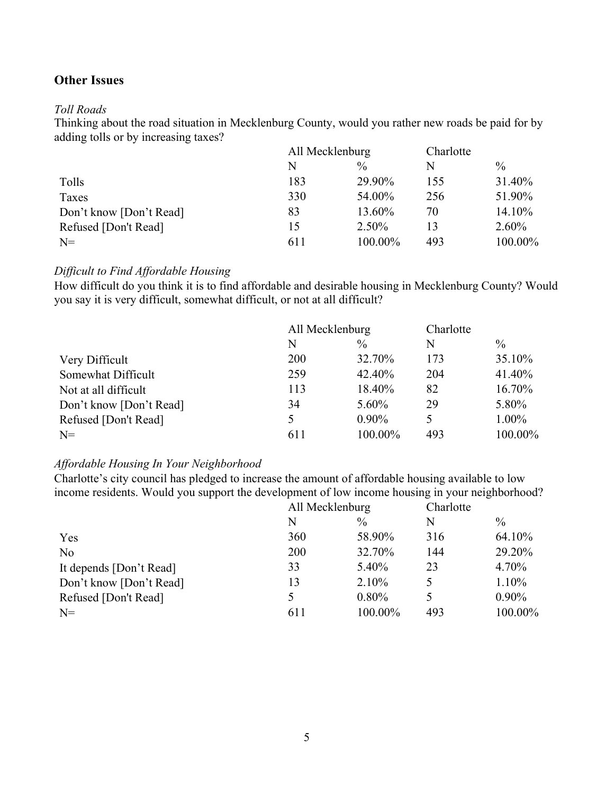## **Other Issues**

### *Toll Roads*

Thinking about the road situation in Mecklenburg County, would you rather new roads be paid for by adding tolls or by increasing taxes?

|                         |     | All Mecklenburg |     | Charlotte     |
|-------------------------|-----|-----------------|-----|---------------|
|                         | N   | $\%$            | N   | $\frac{0}{0}$ |
| Tolls                   | 183 | 29.90%          | 155 | 31.40%        |
| Taxes                   | 330 | 54.00%          | 256 | 51.90%        |
| Don't know [Don't Read] | 83  | 13.60%          | 70  | 14.10%        |
| Refused [Don't Read]    | 15  | 2.50%           | 13  | 2.60%         |
| $N=$                    | 611 | 100.00%         | 493 | 100.00%       |

### *Difficult to Find Affordable Housing*

How difficult do you think it is to find affordable and desirable housing in Mecklenburg County? Would you say it is very difficult, somewhat difficult, or not at all difficult?

|                         | All Mecklenburg |               | Charlotte |               |
|-------------------------|-----------------|---------------|-----------|---------------|
|                         | N               | $\frac{0}{0}$ | N         | $\frac{0}{0}$ |
| Very Difficult          | 200             | 32.70%        | 173       | 35.10%        |
| Somewhat Difficult      | 259             | 42.40%        | 204       | 41.40%        |
| Not at all difficult    | 113             | 18.40%        | 82        | 16.70%        |
| Don't know [Don't Read] | 34              | $5.60\%$      | 29        | 5.80%         |
| Refused [Don't Read]    | 5               | $0.90\%$      | 5         | 1.00%         |
| $N=$                    | 611             | 100.00%       | 493       | 100.00%       |

### *Affordable Housing In Your Neighborhood*

Charlotte's city council has pledged to increase the amount of affordable housing available to low income residents. Would you support the development of low income housing in your neighborhood?

|                         | All Mecklenburg |               | Charlotte |               |
|-------------------------|-----------------|---------------|-----------|---------------|
|                         | N               | $\frac{0}{0}$ | N         | $\frac{0}{0}$ |
| Yes                     | 360             | 58.90%        | 316       | 64.10%        |
| N <sub>o</sub>          | 200             | 32.70%        | 144       | 29.20%        |
| It depends [Don't Read] | 33              | 5.40%         | 23        | 4.70%         |
| Don't know [Don't Read] | 13              | 2.10%         |           | 1.10%         |
| Refused [Don't Read]    | 5               | $0.80\%$      |           | $0.90\%$      |
| $N=$                    | 611             | 100.00%       | 493       | 100.00%       |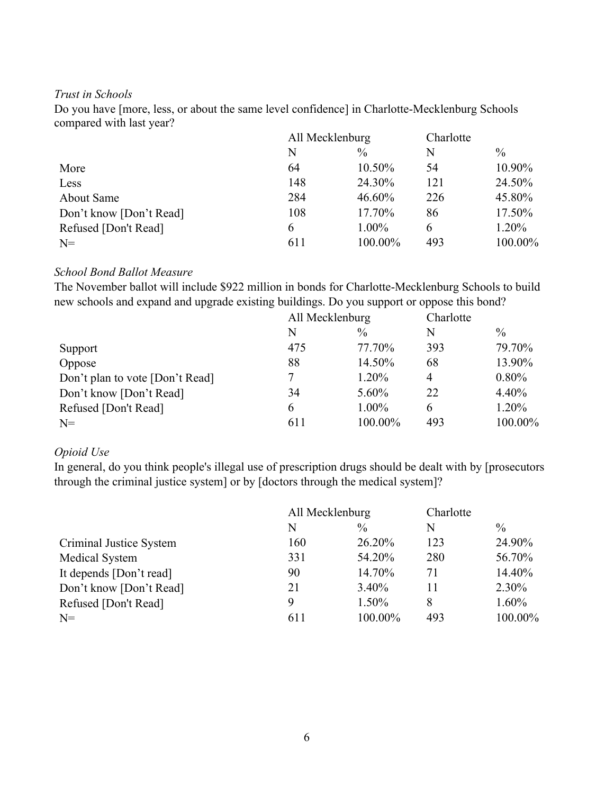### *Trust in Schools*

Do you have [more, less, or about the same level confidence] in Charlotte-Mecklenburg Schools compared with last year?

|                         | All Mecklenburg |               | Charlotte |               |
|-------------------------|-----------------|---------------|-----------|---------------|
|                         | N               | $\frac{0}{0}$ | N         | $\frac{0}{0}$ |
| More                    | 64              | 10.50%        | 54        | 10.90%        |
| Less                    | 148             | 24.30%        | 121       | 24.50%        |
| About Same              | 284             | 46.60%        | 226       | 45.80%        |
| Don't know [Don't Read] | 108             | 17.70%        | 86        | 17.50%        |
| Refused [Don't Read]    | 6               | $1.00\%$      | 6         | 1.20%         |
| $N=$                    | 611             | 100.00%       | 493       | 100.00%       |

### *School Bond Ballot Measure*

The November ballot will include \$922 million in bonds for Charlotte-Mecklenburg Schools to build new schools and expand and upgrade existing buildings. Do you support or oppose this bond?

|                                 | All Mecklenburg |          | Charlotte      |         |
|---------------------------------|-----------------|----------|----------------|---------|
|                                 | N               | $\%$     | N              | $\%$    |
| Support                         | 475             | 77.70%   | 393            | 79.70%  |
| Oppose                          | 88              | 14.50%   | 68             | 13.90%  |
| Don't plan to vote [Don't Read] | 7               | 1.20%    | $\overline{4}$ | 0.80%   |
| Don't know [Don't Read]         | 34              | $5.60\%$ | 22             | 4.40%   |
| Refused [Don't Read]            | 6               | $1.00\%$ | 6              | 1.20%   |
| $N=$                            | 611             | 100.00%  | 493            | 100.00% |

### *Opioid Use*

In general, do you think people's illegal use of prescription drugs should be dealt with by [prosecutors through the criminal justice system] or by [doctors through the medical system]?

|                         | All Mecklenburg |               | Charlotte |               |
|-------------------------|-----------------|---------------|-----------|---------------|
|                         | N               | $\frac{0}{0}$ | N         | $\frac{0}{0}$ |
| Criminal Justice System | 160             | 26.20%        | 123       | 24.90%        |
| Medical System          | 331             | 54.20%        | 280       | 56.70%        |
| It depends [Don't read] | 90              | 14.70%        | 71        | 14.40%        |
| Don't know [Don't Read] | 21              | $3.40\%$      | 11        | 2.30%         |
| Refused [Don't Read]    | 9               | 1.50%         | 8         | 1.60%         |
| $N=$                    | 611             | 100.00%       | 493       | 100.00%       |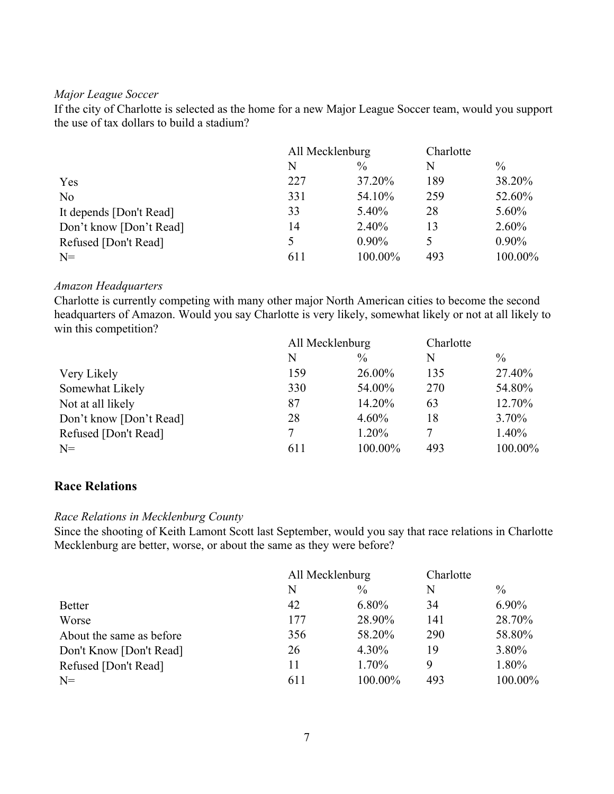### *Major League Soccer*

If the city of Charlotte is selected as the home for a new Major League Soccer team, would you support the use of tax dollars to build a stadium?

|                         | All Mecklenburg |               | Charlotte |               |
|-------------------------|-----------------|---------------|-----------|---------------|
|                         | N               | $\frac{0}{0}$ | N         | $\frac{0}{0}$ |
| Yes                     | 227             | 37.20%        | 189       | 38.20%        |
| N <sub>o</sub>          | 331             | 54.10%        | 259       | 52.60%        |
| It depends [Don't Read] | 33              | $5.40\%$      | 28        | 5.60%         |
| Don't know [Don't Read] | 14              | $2.40\%$      | 13        | $2.60\%$      |
| Refused [Don't Read]    |                 | $0.90\%$      |           | $0.90\%$      |
| $N =$                   | 611             | 100.00%       | 493       | 100.00%       |

### *Amazon Headquarters*

Charlotte is currently competing with many other major North American cities to become the second headquarters of Amazon. Would you say Charlotte is very likely, somewhat likely or not at all likely to win this competition?

|                         | All Mecklenburg |               | Charlotte |               |
|-------------------------|-----------------|---------------|-----------|---------------|
|                         | N               | $\frac{0}{0}$ | N         | $\frac{0}{0}$ |
| Very Likely             | 159             | 26.00%        | 135       | 27.40%        |
| Somewhat Likely         | 330             | 54.00%        | 270       | 54.80%        |
| Not at all likely       | 87              | 14.20%        | 63        | 12.70%        |
| Don't know [Don't Read] | 28              | $4.60\%$      | 18        | 3.70%         |
| Refused [Don't Read]    | 7               | 1.20%         |           | 1.40%         |
| $N=$                    | 611             | 100.00%       | 493       | 100.00%       |

## **Race Relations**

### *Race Relations in Mecklenburg County*

Since the shooting of Keith Lamont Scott last September, would you say that race relations in Charlotte Mecklenburg are better, worse, or about the same as they were before?

|                          | All Mecklenburg |               | Charlotte |               |
|--------------------------|-----------------|---------------|-----------|---------------|
|                          | N               | $\frac{0}{0}$ | N         | $\frac{0}{0}$ |
| <b>Better</b>            | 42              | 6.80%         | 34        | 6.90%         |
| Worse                    | 177             | 28.90%        | 141       | 28.70%        |
| About the same as before | 356             | 58.20%        | 290       | 58.80%        |
| Don't Know [Don't Read]  | 26              | $4.30\%$      | 19        | 3.80%         |
| Refused [Don't Read]     | 11              | 1.70%         | 9         | 1.80%         |
| $N=$                     | 611             | 100.00%       | 493       | 100.00%       |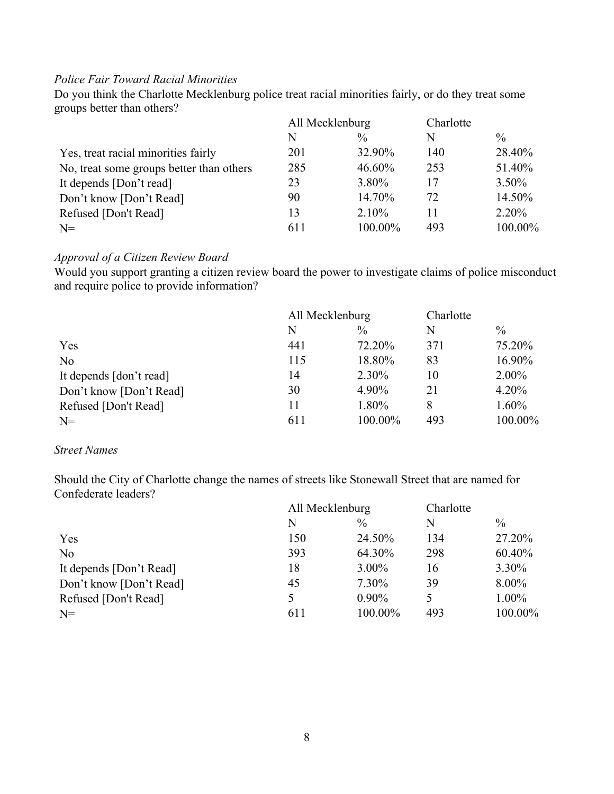### *Police Fair Toward Racial Minorities*

Do you think the Charlotte Mecklenburg police treat racial minorities fairly, or do they treat some groups better than others?

|                                          | All Mecklenburg |               | Charlotte |               |
|------------------------------------------|-----------------|---------------|-----------|---------------|
|                                          | N               | $\frac{0}{0}$ | N         | $\frac{0}{0}$ |
| Yes, treat racial minorities fairly      | 201             | 32.90%        | 140       | 28.40%        |
| No, treat some groups better than others | 285             | 46.60%        | 253       | 51.40%        |
| It depends [Don't read]                  | 23              | 3.80%         | 17        | $3.50\%$      |
| Don't know [Don't Read]                  | 90              | 14.70%        | 72        | 14.50%        |
| Refused [Don't Read]                     | 13              | 2.10%         | 11        | 2.20%         |
| $N=$                                     | 611             | 100.00%       | 493       | 100.00%       |
|                                          |                 |               |           |               |

### *Approval of a Citizen Review Board*

Would you support granting a citizen review board the power to investigate claims of police misconduct and require police to provide information?

|                         | All Mecklenburg |               | Charlotte |               |
|-------------------------|-----------------|---------------|-----------|---------------|
|                         | N               | $\frac{0}{0}$ | N         | $\frac{0}{0}$ |
| Yes                     | 441             | 72.20%        | 371       | 75.20%        |
| N <sub>o</sub>          | 115             | 18.80%        | 83        | 16.90%        |
| It depends [don't read] | 14              | 2.30%         | 10        | $2.00\%$      |
| Don't know [Don't Read] | 30              | 4.90%         | 21        | 4.20%         |
| Refused [Don't Read]    | 11              | 1.80%         | 8         | 1.60%         |
| $N=$                    | 611             | 100.00%       | 493       | 100.00%       |

### *Street Names*

Should the City of Charlotte change the names of streets like Stonewall Street that are named for Confederate leaders?

|                         | All Mecklenburg |               | Charlotte |               |
|-------------------------|-----------------|---------------|-----------|---------------|
|                         | N               | $\frac{0}{0}$ | N         | $\frac{0}{0}$ |
| Yes                     | 150             | 24.50%        | 134       | 27.20%        |
| No                      | 393             | 64.30%        | 298       | 60.40%        |
| It depends [Don't Read] | 18              | $3.00\%$      | 16        | 3.30%         |
| Don't know [Don't Read] | 45              | 7.30%         | 39        | 8.00%         |
| Refused [Don't Read]    | 5               | $0.90\%$      | 5         | 1.00%         |
| $N=$                    | 611             | 100.00%       | 493       | 100.00%       |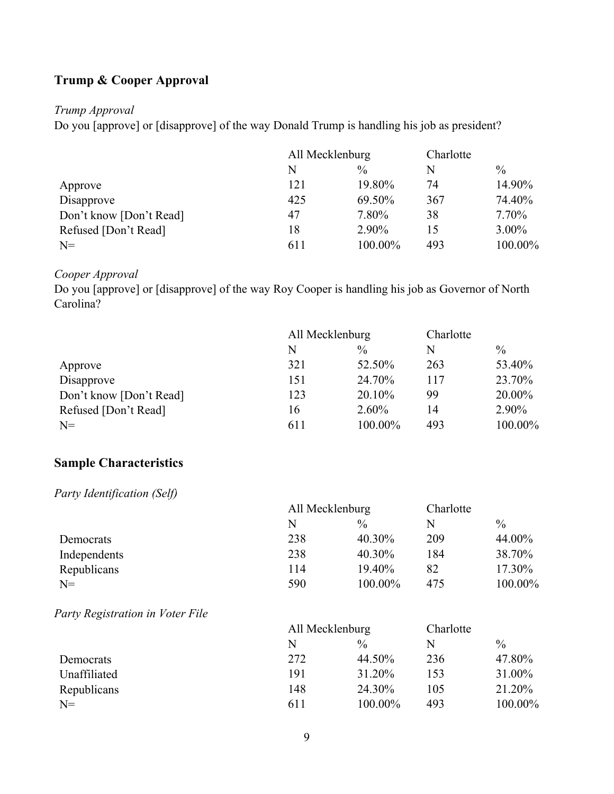# **Trump & Cooper Approval**

### *Trump Approval*

Do you [approve] or [disapprove] of the way Donald Trump is handling his job as president?

|                         | All Mecklenburg |               | Charlotte |               |
|-------------------------|-----------------|---------------|-----------|---------------|
|                         | N               | $\frac{0}{0}$ | N         | $\frac{0}{0}$ |
| Approve                 | 121             | 19.80%        | 74        | 14.90%        |
| Disapprove              | 425             | 69.50%        | 367       | 74.40%        |
| Don't know [Don't Read] | 47              | 7.80%         | 38        | 7.70%         |
| Refused [Don't Read]    | 18              | 2.90%         | 15        | $3.00\%$      |
| $N=$                    | 611             | 100.00%       | 493       | 100.00%       |

## *Cooper Approval*

Do you [approve] or [disapprove] of the way Roy Cooper is handling his job as Governor of North Carolina?

|                         | All Mecklenburg |               | Charlotte |               |
|-------------------------|-----------------|---------------|-----------|---------------|
|                         | N               | $\frac{0}{0}$ | N         | $\frac{0}{0}$ |
| Approve                 | 321             | 52.50%        | 263       | 53.40%        |
| Disapprove              | 151             | 24.70%        | 117       | 23.70%        |
| Don't know [Don't Read] | 123             | 20.10%        | 99        | 20.00%        |
| Refused [Don't Read]    | 16              | 2.60%         | 14        | 2.90%         |
| $N=$                    | 611             | 100.00%       | 493       | 100.00%       |

## **Sample Characteristics**

*Party Identification (Self)*

| $\alpha$ , $\beta$ factority reduces $\alpha$ |                 |               |           |               |  |
|-----------------------------------------------|-----------------|---------------|-----------|---------------|--|
|                                               | All Mecklenburg |               | Charlotte |               |  |
|                                               | N               | $\frac{0}{0}$ | N         | $\frac{0}{0}$ |  |
| Democrats                                     | 238             | 40.30%        | 209       | 44.00%        |  |
| Independents                                  | 238             | 40.30%        | 184       | 38.70%        |  |
| Republicans                                   | 114             | 19.40%        | 82        | 17.30%        |  |
| N=                                            | 590             | 100.00%       | 475       | 100.00%       |  |
|                                               |                 |               |           |               |  |

*Party Registration in Voter File*

|              | All Mecklenburg |               | Charlotte |               |
|--------------|-----------------|---------------|-----------|---------------|
|              | N               | $\frac{0}{0}$ | N         | $\frac{0}{0}$ |
| Democrats    | 272             | 44.50%        | 236       | 47.80%        |
| Unaffiliated | 191             | 31.20%        | 153       | 31.00%        |
| Republicans  | 148             | 24.30%        | 105       | 21.20%        |
| $N=$         | 611             | 100.00%       | 493       | 100.00%       |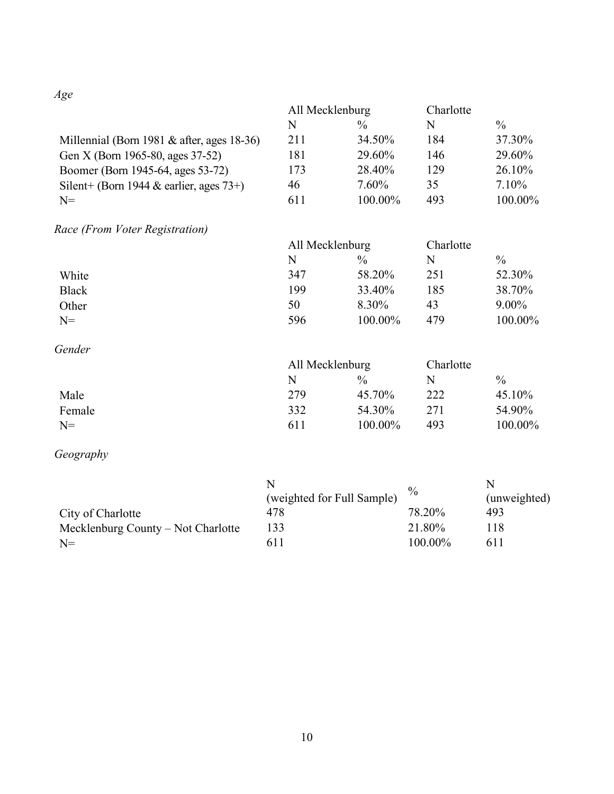*Age*

|                                            | All Mecklenburg |               | Charlotte |               |
|--------------------------------------------|-----------------|---------------|-----------|---------------|
|                                            | N               | $\frac{0}{0}$ | N         | $\frac{0}{0}$ |
| Millennial (Born 1981 & after, ages 18-36) | 211             | 34.50%        | 184       | 37.30%        |
| Gen X (Born 1965-80, ages 37-52)           | 181             | 29.60%        | 146       | 29.60%        |
| Boomer (Born 1945-64, ages 53-72)          | 173             | 28.40%        | 129       | 26.10%        |
| Silent+ (Born 1944 & earlier, ages $73+$ ) | 46              | $7.60\%$      | 35        | $7.10\%$      |
| $N=$                                       | 611             | 100.00%       | 493       | 100.00%       |
|                                            |                 |               |           |               |

*Race (From Voter Registration)*

|       | All Mecklenburg |               | Charlotte |               |
|-------|-----------------|---------------|-----------|---------------|
|       | N               | $\frac{0}{0}$ | N         | $\frac{0}{0}$ |
| White | 347             | 58.20%        | 251       | 52.30%        |
| Black | 199             | 33.40%        | 185       | 38.70%        |
| Other | 50              | 8.30%         | 43        | $9.00\%$      |
| $N=$  | 596             | 100.00%       | 479       | 100.00%       |

## *Gender*

|        | All Mecklenburg |               | Charlotte |            |
|--------|-----------------|---------------|-----------|------------|
|        | N               | $\frac{0}{0}$ | N         | $\%$       |
| Male   | 279             | 45.70%        | 222       | 45.10%     |
| Female | 332             | 54.30%        | 271       | 54.90%     |
| $N=$   | 611             | 100.00%       | 493       | $100.00\%$ |

# *Geography*

|                                    |                            | $\%$    |              |
|------------------------------------|----------------------------|---------|--------------|
|                                    | (weighted for Full Sample) |         | (unweighted) |
| City of Charlotte                  | 478                        | 78.20%  | 493          |
| Mecklenburg County – Not Charlotte | 133                        | 21.80%  | 118          |
| $N=$                               | 611                        | 100.00% | 611          |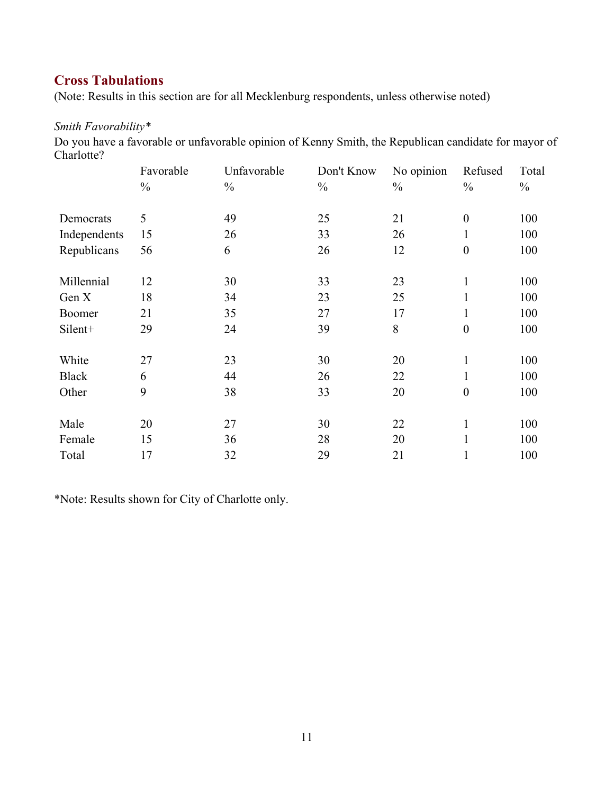## **Cross Tabulations**

(Note: Results in this section are for all Mecklenburg respondents, unless otherwise noted)

## *Smith Favorability\**

Do you have a favorable or unfavorable opinion of Kenny Smith, the Republican candidate for mayor of Charlotte?

|              | Favorable     | Unfavorable   | Don't Know    | No opinion    | Refused          | Total         |
|--------------|---------------|---------------|---------------|---------------|------------------|---------------|
|              | $\frac{0}{0}$ | $\frac{0}{0}$ | $\frac{0}{0}$ | $\frac{0}{0}$ | $\frac{0}{0}$    | $\frac{0}{0}$ |
| Democrats    | 5             | 49            | 25            | 21            | $\boldsymbol{0}$ | 100           |
| Independents | 15            | 26            | 33            | 26            | $\mathbf{1}$     | 100           |
| Republicans  | 56            | 6             | 26            | 12            | $\boldsymbol{0}$ | 100           |
| Millennial   | 12            | 30            | 33            | 23            | $\mathbf{1}$     | 100           |
| Gen X        | 18            | 34            | 23            | 25            | $\mathbf{1}$     | 100           |
| Boomer       | 21            | 35            | 27            | 17            | $\mathbf{1}$     | 100           |
| Silent+      | 29            | 24            | 39            | 8             | $\boldsymbol{0}$ | 100           |
| White        | 27            | 23            | 30            | 20            | $\mathbf{1}$     | 100           |
| <b>Black</b> | 6             | 44            | 26            | 22            | $\mathbf{1}$     | 100           |
| Other        | 9             | 38            | 33            | 20            | $\boldsymbol{0}$ | 100           |
| Male         | 20            | 27            | 30            | 22            | $\mathbf{1}$     | 100           |
| Female       | 15            | 36            | 28            | 20            | $\mathbf{1}$     | 100           |
| Total        | 17            | 32            | 29            | 21            | $\mathbf{1}$     | 100           |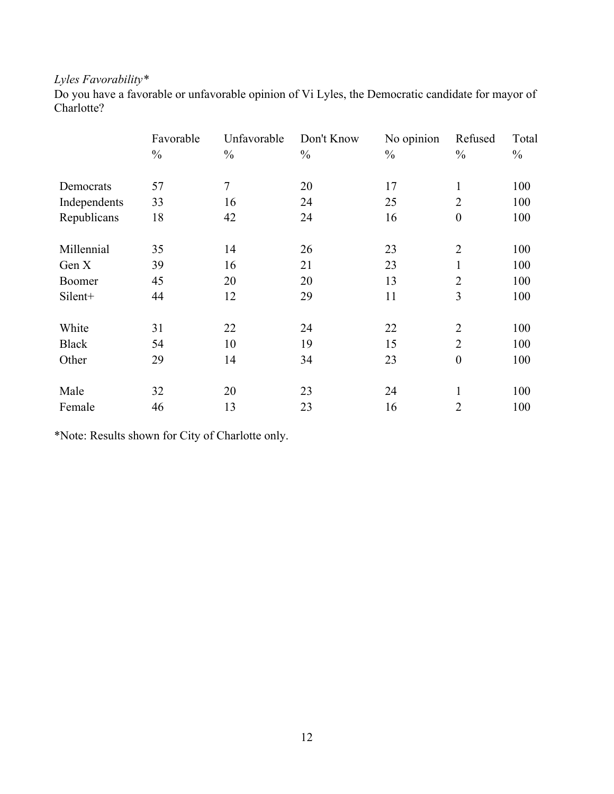# *Lyles Favorability\**

Do you have a favorable or unfavorable opinion of Vi Lyles, the Democratic candidate for mayor of Charlotte?

|              | Favorable     | Unfavorable    | Don't Know    | No opinion    | Refused          | Total         |
|--------------|---------------|----------------|---------------|---------------|------------------|---------------|
|              | $\frac{0}{0}$ | $\frac{0}{0}$  | $\frac{0}{0}$ | $\frac{0}{0}$ | $\frac{0}{0}$    | $\frac{0}{0}$ |
| Democrats    | 57            | $\overline{7}$ | 20            | 17            | $\mathbf{1}$     | 100           |
| Independents | 33            | 16             | 24            | 25            | $\overline{2}$   | 100           |
| Republicans  | 18            | 42             | 24            | 16            | $\boldsymbol{0}$ | 100           |
| Millennial   | 35            | 14             | 26            | 23            | $\overline{2}$   | 100           |
| Gen X        | 39            | 16             | 21            | 23            | $\mathbf{1}$     | 100           |
| Boomer       | 45            | 20             | 20            | 13            | $\overline{2}$   | 100           |
| Silent+      | 44            | 12             | 29            | 11            | 3                | 100           |
| White        | 31            | 22             | 24            | 22            | $\overline{2}$   | 100           |
| <b>Black</b> | 54            | 10             | 19            | 15            | $\overline{2}$   | 100           |
| Other        | 29            | 14             | 34            | 23            | $\boldsymbol{0}$ | 100           |
| Male         | 32            | 20             | 23            | 24            | 1                | 100           |
| Female       | 46            | 13             | 23            | 16            | $\overline{2}$   | 100           |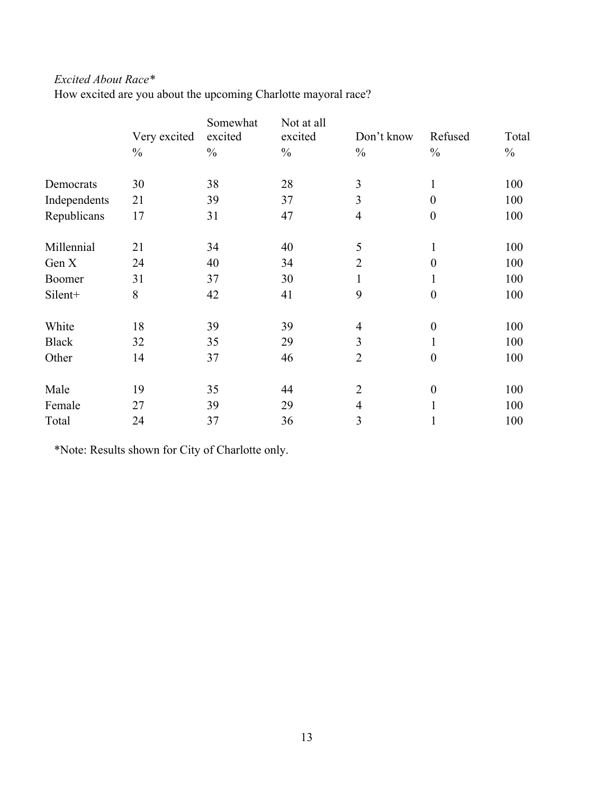## *Excited About Race\**

How excited are you about the upcoming Charlotte mayoral race?

|              | Very excited  | Somewhat<br>excited | Not at all<br>excited | Don't know     | Refused          | Total         |
|--------------|---------------|---------------------|-----------------------|----------------|------------------|---------------|
|              | $\frac{0}{0}$ | $\frac{0}{0}$       | $\frac{0}{0}$         | $\frac{0}{0}$  | $\frac{0}{0}$    | $\frac{0}{0}$ |
| Democrats    | 30            | 38                  | 28                    | $\mathfrak{Z}$ | $\mathbf{1}$     | 100           |
| Independents | 21            | 39                  | 37                    | 3              | $\overline{0}$   | 100           |
| Republicans  | 17            | 31                  | 47                    | $\overline{4}$ | $\boldsymbol{0}$ | 100           |
| Millennial   | 21            | 34                  | 40                    | 5              | 1                | 100           |
| Gen X        | 24            | 40                  | 34                    | $\overline{2}$ | $\overline{0}$   | 100           |
| Boomer       | 31            | 37                  | 30                    | $\mathbf{1}$   | 1                | 100           |
| Silent+      | 8             | 42                  | 41                    | 9              | $\overline{0}$   | 100           |
| White        | 18            | 39                  | 39                    | $\overline{4}$ | $\boldsymbol{0}$ | 100           |
| <b>Black</b> | 32            | 35                  | 29                    | 3              | 1                | 100           |
| Other        | 14            | 37                  | 46                    | $\overline{2}$ | $\overline{0}$   | 100           |
| Male         | 19            | 35                  | 44                    | $\overline{2}$ | $\boldsymbol{0}$ | 100           |
| Female       | 27            | 39                  | 29                    | $\overline{4}$ | $\mathbf{1}$     | 100           |
| Total        | 24            | 37                  | 36                    | 3              | 1                | 100           |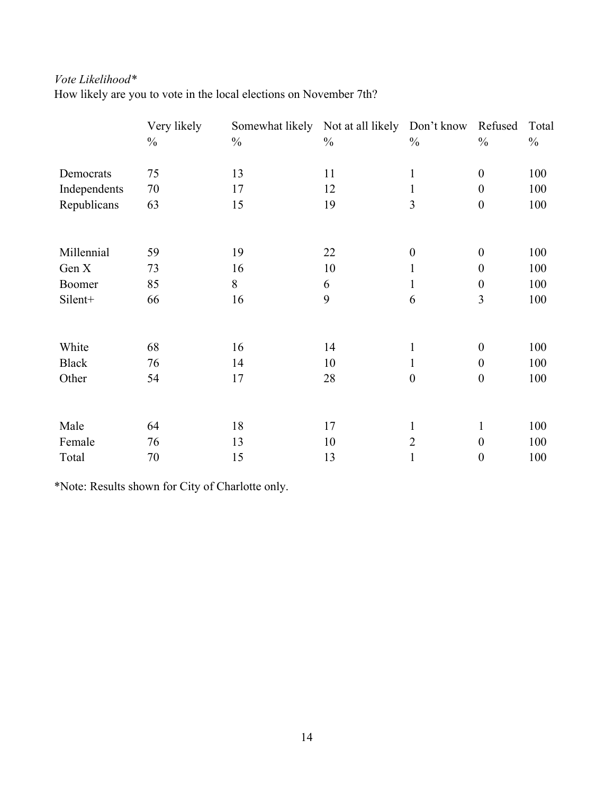## *Vote Likelihood\**

How likely are you to vote in the local elections on November 7th?

|              | Very likely   | Somewhat likely Not at all likely Don't know |               |                  | Refused          | Total         |
|--------------|---------------|----------------------------------------------|---------------|------------------|------------------|---------------|
|              | $\frac{0}{0}$ | $\frac{0}{0}$                                | $\frac{0}{0}$ | $\frac{0}{0}$    | $\frac{0}{0}$    | $\frac{0}{0}$ |
| Democrats    | 75            | 13                                           | 11            | $\mathbf{1}$     | $\boldsymbol{0}$ | 100           |
| Independents | 70            | 17                                           | 12            | 1                | $\boldsymbol{0}$ | 100           |
| Republicans  | 63            | 15                                           | 19            | 3                | $\boldsymbol{0}$ | 100           |
|              |               |                                              |               |                  |                  |               |
| Millennial   | 59            | 19                                           | 22            | $\boldsymbol{0}$ | $\boldsymbol{0}$ | 100           |
| Gen X        | 73            | 16                                           | 10            | 1                | $\boldsymbol{0}$ | 100           |
| Boomer       | 85            | 8                                            | 6             | 1                | $\boldsymbol{0}$ | 100           |
| Silent+      | 66            | 16                                           | 9             | 6                | 3                | 100           |
|              |               |                                              |               |                  |                  |               |
| White        | 68            | 16                                           | 14            | $\mathbf{1}$     | $\boldsymbol{0}$ | 100           |
| <b>Black</b> | 76            | 14                                           | 10            | 1                | $\boldsymbol{0}$ | 100           |
| Other        | 54            | 17                                           | 28            | $\boldsymbol{0}$ | $\boldsymbol{0}$ | 100           |
|              |               |                                              |               |                  |                  |               |
| Male         | 64            | 18                                           | 17            | $\mathbf{1}$     | $\mathbf{1}$     | 100           |
| Female       | 76            | 13                                           | 10            | $\overline{2}$   | $\boldsymbol{0}$ | 100           |
| Total        | 70            | 15                                           | 13            | 1                | $\boldsymbol{0}$ | 100           |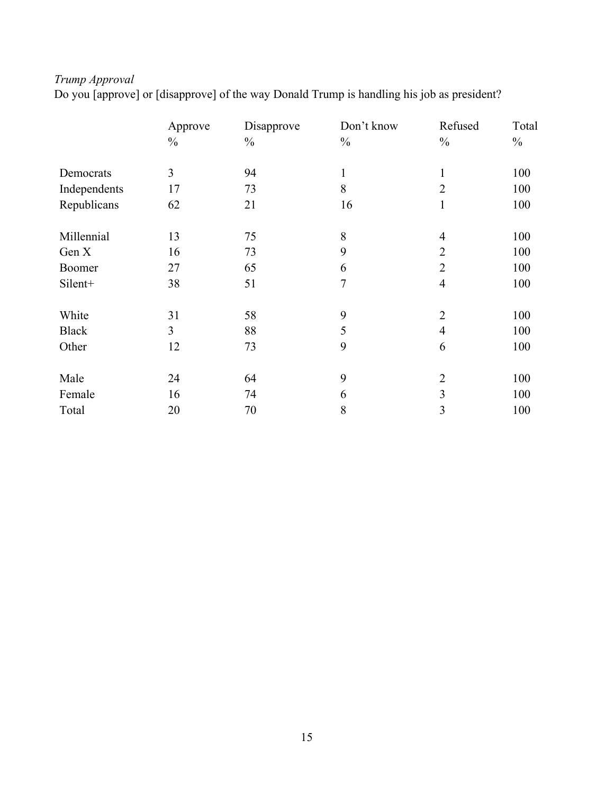# *Trump Approval*

Do you [approve] or [disapprove] of the way Donald Trump is handling his job as president?

|              | Approve       | Disapprove    | Don't know     | Refused        | Total         |
|--------------|---------------|---------------|----------------|----------------|---------------|
|              | $\frac{0}{0}$ | $\frac{0}{0}$ | $\frac{0}{0}$  | $\frac{0}{0}$  | $\frac{0}{0}$ |
| Democrats    | 3             | 94            | $\mathbf{1}$   | $\mathbf{1}$   | 100           |
| Independents | 17            | 73            | 8              | $\overline{2}$ | 100           |
| Republicans  | 62            | 21            | 16             | $\mathbf{1}$   | 100           |
| Millennial   | 13            | 75            | 8              | $\overline{4}$ | 100           |
| Gen X        | 16            | 73            | 9              | $\overline{2}$ | 100           |
| Boomer       | 27            | 65            | 6              | $\overline{2}$ | 100           |
| Silent+      | 38            | 51            | $\overline{7}$ | $\overline{4}$ | 100           |
| White        | 31            | 58            | 9              | $\overline{2}$ | 100           |
| <b>Black</b> | 3             | 88            | 5              | $\overline{4}$ | 100           |
| Other        | 12            | 73            | 9              | 6              | 100           |
| Male         | 24            | 64            | 9              | $\overline{2}$ | 100           |
| Female       | 16            | 74            | 6              | $\overline{3}$ | 100           |
| Total        | 20            | 70            | 8              | 3              | 100           |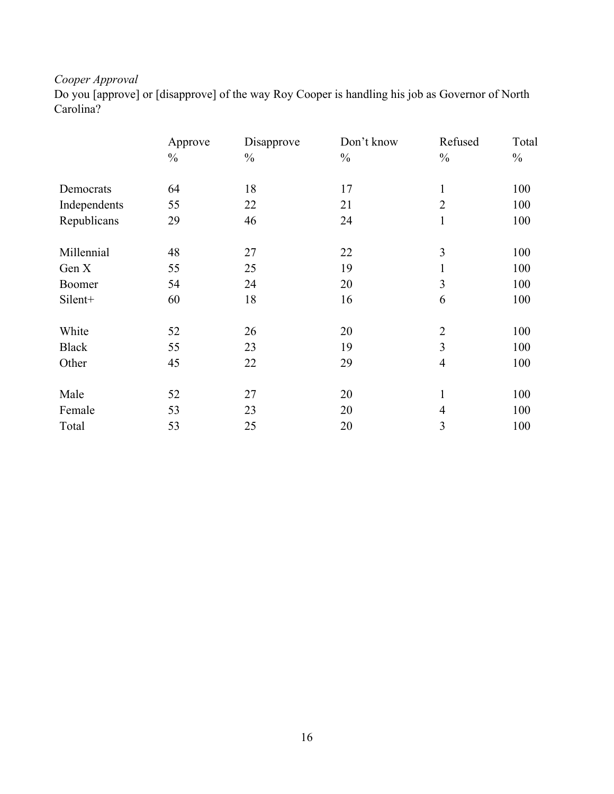# *Cooper Approval*

Do you [approve] or [disapprove] of the way Roy Cooper is handling his job as Governor of North Carolina?

|              | Approve       | Disapprove    | Don't know    | Refused        | Total         |
|--------------|---------------|---------------|---------------|----------------|---------------|
|              | $\frac{0}{0}$ | $\frac{0}{0}$ | $\frac{0}{0}$ | $\frac{0}{0}$  | $\frac{0}{0}$ |
| Democrats    | 64            | 18            | 17            | $\mathbf{1}$   | 100           |
| Independents | 55            | 22            | 21            | $\overline{2}$ | 100           |
| Republicans  | 29            | 46            | 24            | $\mathbf{1}$   | 100           |
| Millennial   | 48            | 27            | 22            | 3              | 100           |
| Gen X        | 55            | 25            | 19            | 1              | 100           |
| Boomer       | 54            | 24            | 20            | 3              | 100           |
| Silent+      | 60            | 18            | 16            | 6              | 100           |
| White        | 52            | 26            | 20            | $\overline{2}$ | 100           |
| <b>Black</b> | 55            | 23            | 19            | $\overline{3}$ | 100           |
| Other        | 45            | 22            | 29            | $\overline{4}$ | 100           |
| Male         | 52            | 27            | 20            | $\mathbf{1}$   | 100           |
| Female       | 53            | 23            | 20            | $\overline{4}$ | 100           |
| Total        | 53            | 25            | 20            | 3              | 100           |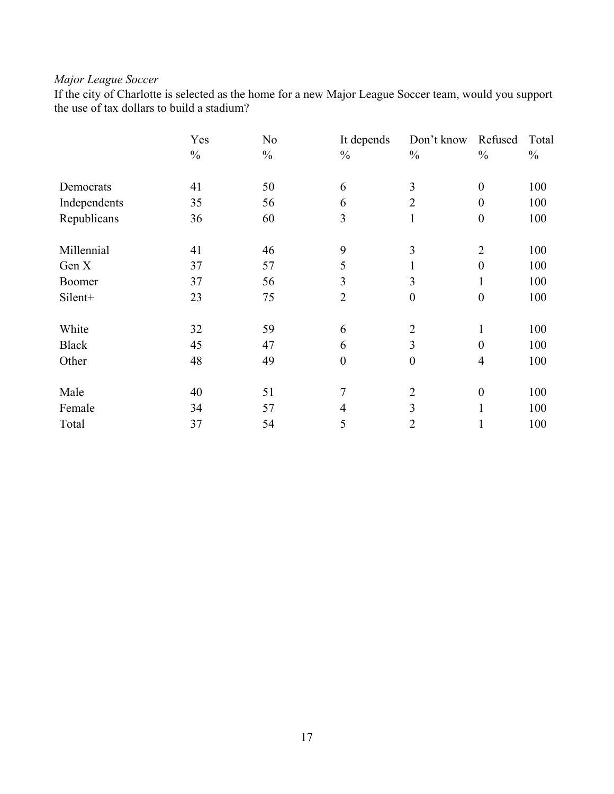# *Major League Soccer*

If the city of Charlotte is selected as the home for a new Major League Soccer team, would you support the use of tax dollars to build a stadium?

|              | Yes           | N <sub>0</sub> | It depends       | Don't know       | Refused          | Total         |
|--------------|---------------|----------------|------------------|------------------|------------------|---------------|
|              | $\frac{0}{0}$ | $\frac{0}{0}$  | $\frac{0}{0}$    | $\frac{0}{0}$    | $\frac{0}{0}$    | $\frac{0}{0}$ |
| Democrats    | 41            | 50             | 6                | 3                | $\boldsymbol{0}$ | 100           |
| Independents | 35            | 56             | 6                | $\overline{2}$   | $\boldsymbol{0}$ | 100           |
| Republicans  | 36            | 60             | 3                | $\mathbf{1}$     | $\boldsymbol{0}$ | 100           |
| Millennial   | 41            | 46             | 9                | 3                | $\overline{2}$   | 100           |
| Gen X        | 37            | 57             | 5                | $\mathbf{I}$     | $\boldsymbol{0}$ | 100           |
| Boomer       | 37            | 56             | 3                | 3                | 1                | 100           |
| Silent+      | 23            | 75             | $\overline{2}$   | $\boldsymbol{0}$ | $\boldsymbol{0}$ | 100           |
| White        | 32            | 59             | 6                | $\overline{2}$   | $\mathbf{1}$     | 100           |
| <b>Black</b> | 45            | 47             | 6                | 3                | $\theta$         | 100           |
| Other        | 48            | 49             | $\boldsymbol{0}$ | $\boldsymbol{0}$ | $\overline{4}$   | 100           |
| Male         | 40            | 51             | 7                | $\overline{2}$   | $\boldsymbol{0}$ | 100           |
| Female       | 34            | 57             | 4                | 3                | $\mathbf{1}$     | 100           |
| Total        | 37            | 54             | 5                | $\overline{2}$   | $\mathbf{1}$     | 100           |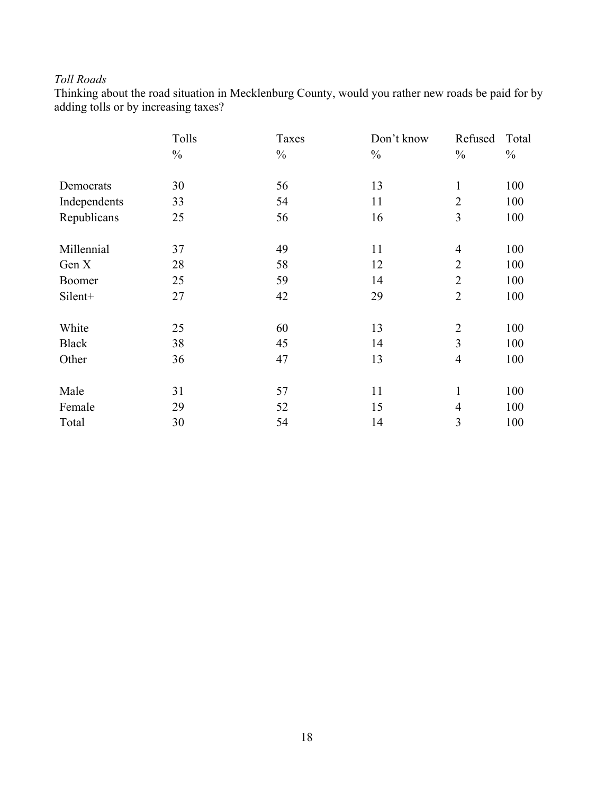## *Toll Roads*

Thinking about the road situation in Mecklenburg County, would you rather new roads be paid for by adding tolls or by increasing taxes?

|              | Tolls         | Taxes         | Don't know    | Refused                 | Total         |
|--------------|---------------|---------------|---------------|-------------------------|---------------|
|              | $\frac{0}{0}$ | $\frac{0}{0}$ | $\frac{0}{0}$ | $\frac{0}{0}$           | $\frac{0}{0}$ |
| Democrats    | 30            | 56            | 13            | $\mathbf{1}$            | 100           |
| Independents | 33            | 54            | 11            | $\overline{2}$          | 100           |
| Republicans  | 25            | 56            | 16            | 3                       | 100           |
| Millennial   | 37            | 49            | 11            | $\overline{4}$          | 100           |
| Gen X        | 28            | 58            | 12            | $\overline{2}$          | 100           |
| Boomer       | 25            | 59            | 14            | $\overline{2}$          | 100           |
| Silent+      | 27            | 42            | 29            | $\overline{2}$          | 100           |
| White        | 25            | 60            | 13            | $\overline{2}$          | 100           |
| <b>Black</b> | 38            | 45            | 14            | 3                       | 100           |
| Other        | 36            | 47            | 13            | $\overline{4}$          | 100           |
| Male         | 31            | 57            | 11            | $\mathbf{1}$            | 100           |
| Female       | 29            | 52            | 15            | $\overline{4}$          | 100           |
| Total        | 30            | 54            | 14            | $\overline{\mathbf{3}}$ | 100           |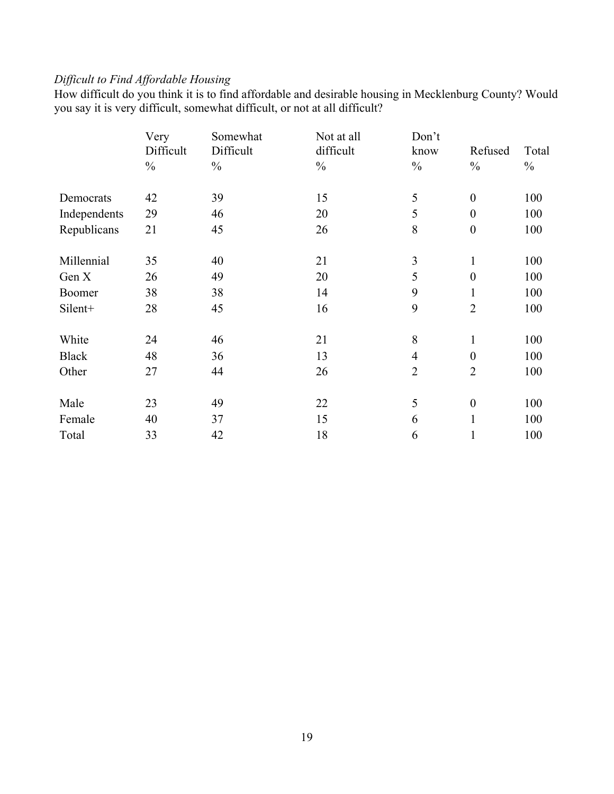## *Difficult to Find Affordable Housing*

How difficult do you think it is to find affordable and desirable housing in Mecklenburg County? Would you say it is very difficult, somewhat difficult, or not at all difficult?

|              | Very          | Somewhat      | Not at all    | Don't          |                  |               |
|--------------|---------------|---------------|---------------|----------------|------------------|---------------|
|              | Difficult     | Difficult     | difficult     | know           | Refused          | Total         |
|              | $\frac{0}{0}$ | $\frac{0}{0}$ | $\frac{0}{0}$ | $\frac{0}{0}$  | $\frac{0}{0}$    | $\frac{0}{0}$ |
| Democrats    | 42            | 39            | 15            | 5              | $\boldsymbol{0}$ | 100           |
| Independents | 29            | 46            | 20            | 5              | $\theta$         | 100           |
| Republicans  | 21            | 45            | 26            | 8              | $\boldsymbol{0}$ | 100           |
| Millennial   | 35            | 40            | 21            | 3              | $\mathbf{1}$     | 100           |
| Gen X        | 26            | 49            | 20            | 5              | $\boldsymbol{0}$ | 100           |
| Boomer       | 38            | 38            | 14            | 9              | $\mathbf{1}$     | 100           |
| Silent+      | 28            | 45            | 16            | 9              | $\overline{2}$   | 100           |
| White        | 24            | 46            | 21            | 8              | $\mathbf{1}$     | 100           |
| <b>Black</b> | 48            | 36            | 13            | $\overline{4}$ | $\boldsymbol{0}$ | 100           |
| Other        | 27            | 44            | 26            | $\overline{2}$ | $\overline{2}$   | 100           |
| Male         | 23            | 49            | 22            | 5              | $\boldsymbol{0}$ | 100           |
| Female       | 40            | 37            | 15            | 6              | 1                | 100           |
| Total        | 33            | 42            | 18            | 6              | 1                | 100           |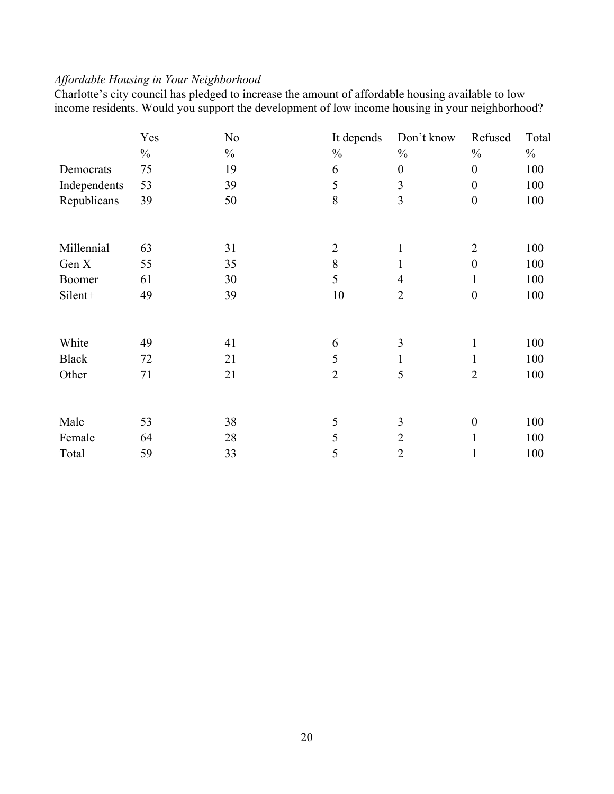## *Affordable Housing in Your Neighborhood*

Charlotte's city council has pledged to increase the amount of affordable housing available to low income residents. Would you support the development of low income housing in your neighborhood?

|              | Yes           | N <sub>0</sub> | It depends     | Don't know       | Refused          | Total         |
|--------------|---------------|----------------|----------------|------------------|------------------|---------------|
|              | $\frac{0}{0}$ | $\frac{0}{0}$  | $\frac{0}{0}$  | $\frac{0}{0}$    | $\frac{0}{0}$    | $\frac{0}{0}$ |
| Democrats    | 75            | 19             | 6              | $\boldsymbol{0}$ | $\boldsymbol{0}$ | 100           |
| Independents | 53            | 39             | 5              | 3                | $\overline{0}$   | 100           |
| Republicans  | 39            | 50             | 8              | 3                | $\boldsymbol{0}$ | 100           |
|              |               |                |                |                  |                  |               |
| Millennial   | 63            | 31             | $\overline{2}$ |                  | $\overline{2}$   | 100           |
| Gen X        | 55            | 35             | 8              |                  | $\boldsymbol{0}$ | 100           |
| Boomer       | 61            | 30             | 5              | 4                |                  | 100           |
| Silent+      | 49            | 39             | 10             | $\overline{2}$   | $\boldsymbol{0}$ | 100           |
| White        | 49            | 41             | 6              | 3                | $\mathbf{1}$     | 100           |
| <b>Black</b> | 72            | 21             | 5              | 1                | 1                | 100           |
| Other        | 71            | 21             | $\overline{2}$ | 5                | $\overline{2}$   | 100           |
| Male         | 53            | 38             | 5              | 3                | $\boldsymbol{0}$ | 100           |
| Female       | 64            | 28             | 5              | $\overline{2}$   |                  | 100           |
| Total        | 59            | 33             | 5              | $\overline{2}$   | 1                | 100           |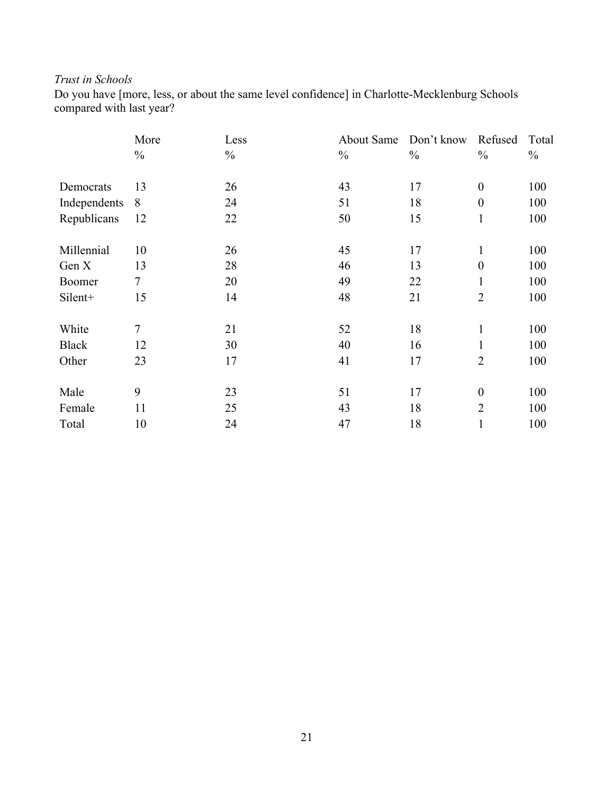## *Trust in Schools*

Do you have [more, less, or about the same level confidence] in Charlotte-Mecklenburg Schools compared with last year?

|               | More           | Less          | About Same    | Don't know    | Refused          | Total         |
|---------------|----------------|---------------|---------------|---------------|------------------|---------------|
|               | $\frac{0}{0}$  | $\frac{0}{0}$ | $\frac{0}{0}$ | $\frac{0}{0}$ | $\frac{0}{0}$    | $\frac{0}{0}$ |
| Democrats     | 13             | 26            | 43            | 17            | $\boldsymbol{0}$ | 100           |
| Independents  | 8              | 24            | 51            | 18            | $\boldsymbol{0}$ | 100           |
| Republicans   | 12             | 22            | 50            | 15            | $\mathbf{1}$     | 100           |
| Millennial    | 10             | 26            | 45            | 17            | $\mathbf{1}$     | 100           |
| Gen X         | 13             | 28            | 46            | 13            | $\boldsymbol{0}$ | 100           |
| <b>Boomer</b> | $\tau$         | 20            | 49            | 22            | 1                | 100           |
| Silent+       | 15             | 14            | 48            | 21            | $\overline{2}$   | 100           |
| White         | $\overline{7}$ | 21            | 52            | 18            | $\mathbf{1}$     | 100           |
| <b>Black</b>  | 12             | 30            | 40            | 16            | 1                | 100           |
| Other         | 23             | 17            | 41            | 17            | $\overline{2}$   | 100           |
| Male          | 9              | 23            | 51            | 17            | $\boldsymbol{0}$ | 100           |
| Female        | 11             | 25            | 43            | 18            | $\overline{2}$   | 100           |
| Total         | 10             | 24            | 47            | 18            | 1                | 100           |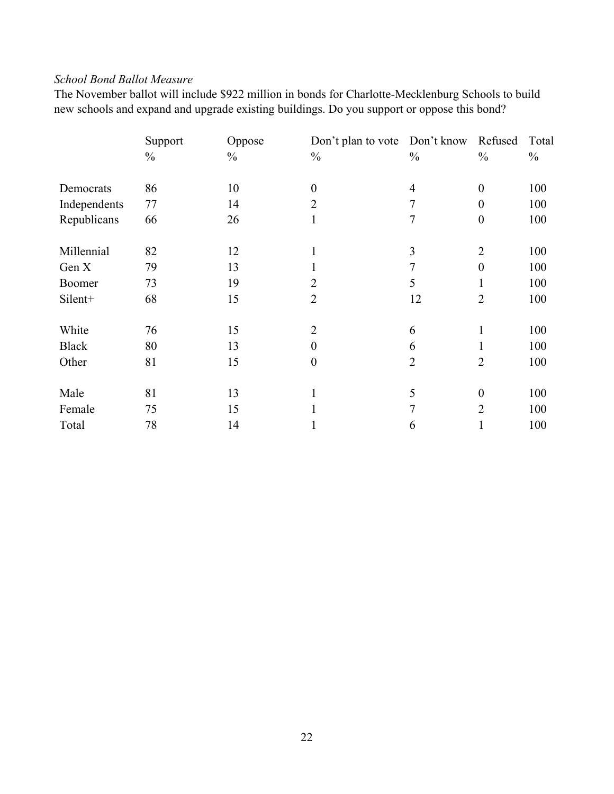## *School Bond Ballot Measure*

The November ballot will include \$922 million in bonds for Charlotte-Mecklenburg Schools to build new schools and expand and upgrade existing buildings. Do you support or oppose this bond?

|               | Support       | Oppose        | Don't plan to vote Don't know |                | Refused          | Total         |
|---------------|---------------|---------------|-------------------------------|----------------|------------------|---------------|
|               | $\frac{0}{0}$ | $\frac{0}{0}$ | $\frac{0}{0}$                 | $\frac{0}{0}$  | $\frac{0}{0}$    | $\frac{0}{0}$ |
| Democrats     | 86            | 10            | $\boldsymbol{0}$              | $\overline{4}$ | $\boldsymbol{0}$ | 100           |
| Independents  | 77            | 14            | $\overline{2}$                | 7              | $\boldsymbol{0}$ | 100           |
| Republicans   | 66            | 26            | $\mathbf{1}$                  | 7              | $\boldsymbol{0}$ | 100           |
| Millennial    | 82            | 12            | $\mathbf{1}$                  | 3              | $\overline{2}$   | 100           |
| Gen X         | 79            | 13            | $\mathbf{1}$                  | 7              | $\boldsymbol{0}$ | 100           |
| <b>Boomer</b> | 73            | 19            | $\overline{2}$                | 5              | $\mathbf{1}$     | 100           |
| Silent+       | 68            | 15            | $\overline{2}$                | 12             | $\overline{2}$   | 100           |
| White         | 76            | 15            | $\overline{2}$                | 6              | $\mathbf{1}$     | 100           |
| <b>Black</b>  | 80            | 13            | $\boldsymbol{0}$              | 6              |                  | 100           |
| Other         | 81            | 15            | $\boldsymbol{0}$              | $\overline{2}$ | $\overline{2}$   | 100           |
| Male          | 81            | 13            | $\mathbf{1}$                  | 5              | $\boldsymbol{0}$ | 100           |
| Female        | 75            | 15            | $\mathbf{1}$                  | 7              | $\overline{2}$   | 100           |
| Total         | 78            | 14            |                               | 6              |                  | 100           |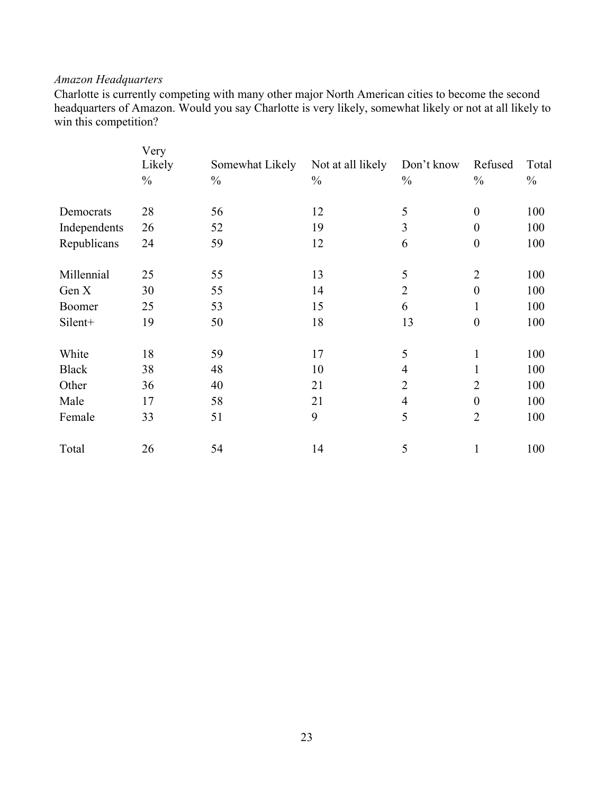## *Amazon Headquarters*

Charlotte is currently competing with many other major North American cities to become the second headquarters of Amazon. Would you say Charlotte is very likely, somewhat likely or not at all likely to win this competition?

|              | Very          |                 |                   |                         |                  |               |
|--------------|---------------|-----------------|-------------------|-------------------------|------------------|---------------|
|              | Likely        | Somewhat Likely | Not at all likely | Don't know              | Refused          | Total         |
|              | $\frac{0}{0}$ | $\frac{0}{0}$   | $\frac{0}{0}$     | $\frac{0}{0}$           | $\frac{0}{0}$    | $\frac{0}{0}$ |
| Democrats    | 28            | 56              | 12                | 5                       | $\boldsymbol{0}$ | 100           |
| Independents | 26            | 52              | 19                | $\overline{\mathbf{3}}$ | $\theta$         | 100           |
| Republicans  | 24            | 59              | 12                | 6                       | $\boldsymbol{0}$ | 100           |
| Millennial   | 25            | 55              | 13                | 5                       | $\overline{2}$   | 100           |
| Gen X        | 30            | 55              | 14                | $\overline{2}$          | $\overline{0}$   | 100           |
| Boomer       | 25            | 53              | 15                | 6                       | 1                | 100           |
| Silent+      | 19            | 50              | 18                | 13                      | $\overline{0}$   | 100           |
| White        | 18            | 59              | 17                | 5                       | $\mathbf{1}$     | 100           |
| <b>Black</b> | 38            | 48              | 10                | $\overline{4}$          | 1                | 100           |
| Other        | 36            | 40              | 21                | $\overline{2}$          | $\overline{2}$   | 100           |
| Male         | 17            | 58              | 21                | $\overline{4}$          | $\boldsymbol{0}$ | 100           |
| Female       | 33            | 51              | 9                 | 5                       | $\overline{2}$   | 100           |
| Total        | 26            | 54              | 14                | 5                       | 1                | 100           |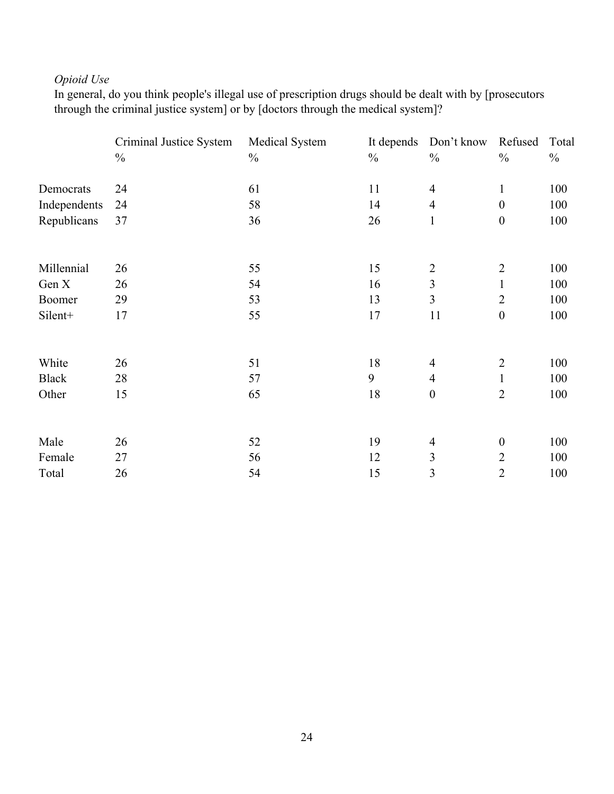## *Opioid Use*

In general, do you think people's illegal use of prescription drugs should be dealt with by [prosecutors through the criminal justice system] or by [doctors through the medical system]?

|              | Criminal Justice System | Medical System | It depends    | Don't know       | Refused          | Total         |
|--------------|-------------------------|----------------|---------------|------------------|------------------|---------------|
|              | $\frac{0}{0}$           | $\frac{0}{0}$  | $\frac{0}{0}$ | $\frac{0}{0}$    | $\frac{0}{0}$    | $\frac{0}{0}$ |
| Democrats    | 24                      | 61             | 11            | $\overline{4}$   | $\mathbf{1}$     | 100           |
| Independents | 24                      | 58             | 14            | $\overline{4}$   | $\boldsymbol{0}$ | 100           |
| Republicans  | 37                      | 36             | 26            | $\mathbf{1}$     | $\boldsymbol{0}$ | 100           |
|              |                         |                |               |                  |                  |               |
| Millennial   | 26                      | 55             | 15            | $\overline{2}$   | $\overline{2}$   | 100           |
| Gen X        | 26                      | 54             | 16            | 3                | $\mathbf{1}$     | 100           |
| Boomer       | 29                      | 53             | 13            | $\overline{3}$   | $\overline{2}$   | 100           |
| Silent+      | 17                      | 55             | 17            | 11               | $\boldsymbol{0}$ | 100           |
| White        | 26                      | 51             | 18            | $\overline{4}$   | $\overline{2}$   | 100           |
| <b>Black</b> | 28                      | 57             | 9             | $\overline{4}$   | $\mathbf{1}$     | 100           |
| Other        | 15                      | 65             | 18            | $\boldsymbol{0}$ | $\overline{2}$   | 100           |
| Male         | 26                      | 52             | 19            | $\overline{4}$   | $\boldsymbol{0}$ | 100           |
| Female       | 27                      | 56             | 12            | 3                | $\overline{2}$   | 100           |
| Total        | 26                      | 54             | 15            | 3                | $\overline{2}$   | 100           |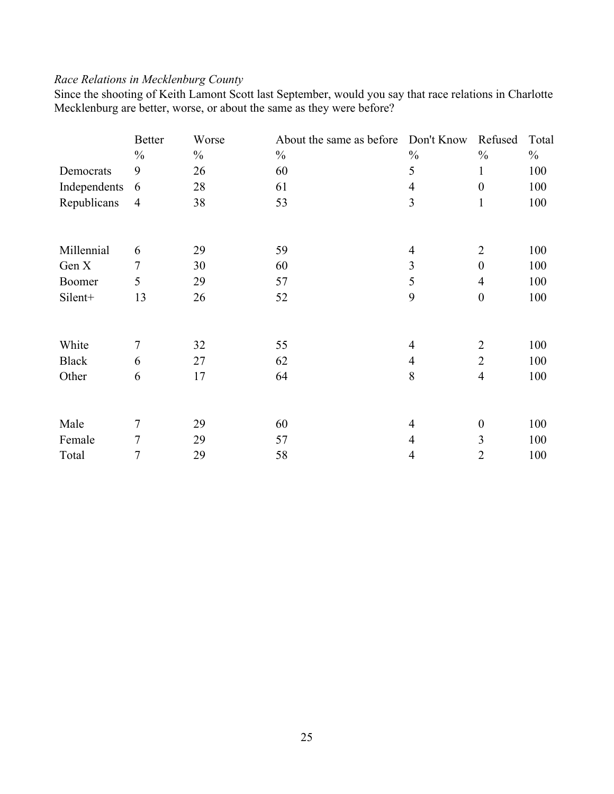## *Race Relations in Mecklenburg County*

Since the shooting of Keith Lamont Scott last September, would you say that race relations in Charlotte Mecklenburg are better, worse, or about the same as they were before?

|              | <b>Better</b>  | Worse         | About the same as before | Don't Know     | Refused          | Total         |
|--------------|----------------|---------------|--------------------------|----------------|------------------|---------------|
|              | $\frac{0}{0}$  | $\frac{0}{0}$ | $\frac{0}{0}$            | $\frac{0}{0}$  | $\frac{0}{0}$    | $\frac{0}{0}$ |
| Democrats    | 9              | 26            | 60                       | 5              | $\mathbf{1}$     | 100           |
| Independents | 6              | 28            | 61                       | $\overline{4}$ | $\boldsymbol{0}$ | 100           |
| Republicans  | $\overline{4}$ | 38            | 53                       | 3              | $\mathbf{1}$     | 100           |
|              |                |               |                          |                |                  |               |
| Millennial   | 6              | 29            | 59                       | $\overline{4}$ | $\overline{2}$   | 100           |
| Gen X        | $\overline{7}$ | 30            | 60                       | 3              | $\boldsymbol{0}$ | 100           |
| Boomer       | 5              | 29            | 57                       | 5              | $\overline{4}$   | 100           |
| Silent+      | 13             | 26            | 52                       | 9              | $\boldsymbol{0}$ | 100           |
| White        | 7              | 32            | 55                       | $\overline{4}$ | $\overline{2}$   | 100           |
| <b>Black</b> | 6              | 27            | 62                       | $\overline{4}$ | $\overline{2}$   | 100           |
| Other        | 6              | 17            | 64                       | 8              | $\overline{4}$   | 100           |
| Male         | $\tau$         | 29            | 60                       | $\overline{4}$ | $\boldsymbol{0}$ | 100           |
| Female       | 7              | 29            | 57                       | $\overline{4}$ | 3                | 100           |
| Total        | 7              | 29            | 58                       | 4              | $\overline{2}$   | 100           |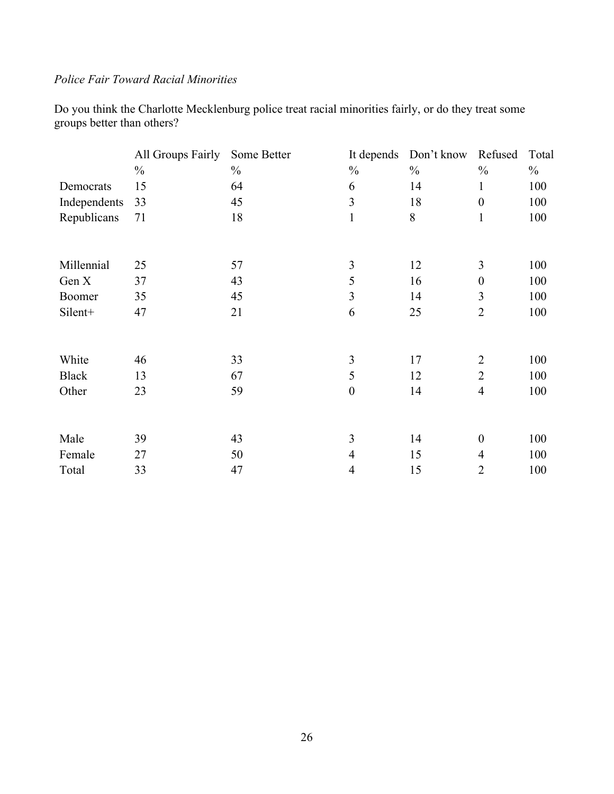## *Police Fair Toward Racial Minorities*

Do you think the Charlotte Mecklenburg police treat racial minorities fairly, or do they treat some groups better than others?

|              | All Groups Fairly | Some Better   | It depends       | Don't know    | Refused          | Total         |
|--------------|-------------------|---------------|------------------|---------------|------------------|---------------|
|              | $\frac{0}{0}$     | $\frac{0}{0}$ | $\frac{0}{0}$    | $\frac{0}{0}$ | $\frac{0}{0}$    | $\frac{0}{0}$ |
| Democrats    | 15                | 64            | 6                | 14            | 1                | 100           |
| Independents | 33                | 45            | 3                | 18            | $\boldsymbol{0}$ | 100           |
| Republicans  | 71                | 18            | $\mathbf{1}$     | 8             | $\mathbf{1}$     | 100           |
|              |                   |               |                  |               |                  |               |
| Millennial   | 25                | 57            | 3                | 12            | 3                | 100           |
| Gen X        | 37                | 43            | 5                | 16            | $\boldsymbol{0}$ | 100           |
| Boomer       | 35                | 45            | 3                | 14            | 3                | 100           |
| Silent+      | 47                | 21            | 6                | 25            | $\overline{2}$   | 100           |
| White        | 46                | 33            | 3                | 17            | $\overline{2}$   | 100           |
| <b>Black</b> | 13                | 67            | 5                | 12            | $\overline{2}$   | 100           |
| Other        | 23                | 59            | $\boldsymbol{0}$ | 14            | $\overline{4}$   | 100           |
|              |                   |               |                  |               |                  |               |
| Male         | 39                | 43            | 3                | 14            | $\boldsymbol{0}$ | 100           |
| Female       | 27                | 50            | 4                | 15            | $\overline{4}$   | 100           |
| Total        | 33                | 47            | 4                | 15            | $\overline{2}$   | 100           |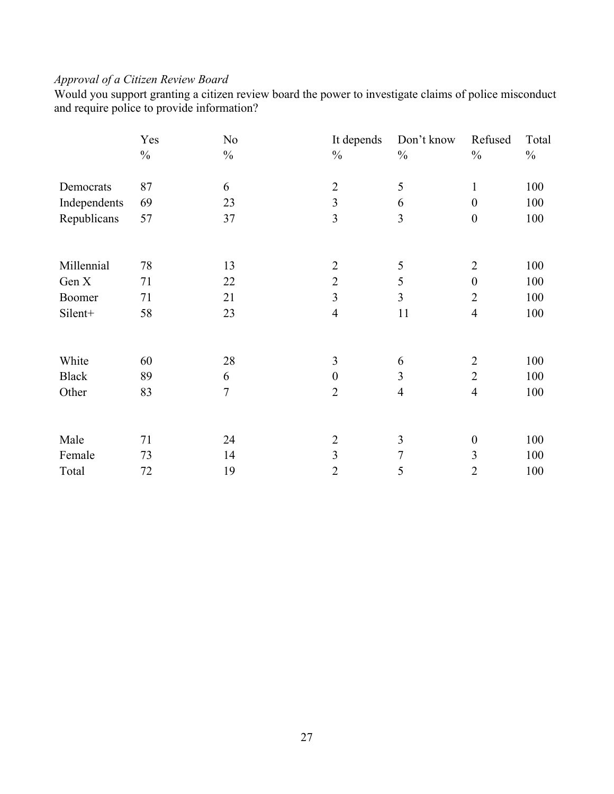# *Approval of a Citizen Review Board*

Would you support granting a citizen review board the power to investigate claims of police misconduct and require police to provide information?

|              | Yes           | N <sub>0</sub> | It depends       | Don't know     | Refused          | Total         |
|--------------|---------------|----------------|------------------|----------------|------------------|---------------|
|              | $\frac{0}{0}$ | $\frac{0}{0}$  | $\frac{0}{0}$    | $\frac{0}{0}$  | $\frac{0}{0}$    | $\frac{0}{0}$ |
| Democrats    | 87            | 6              | $\overline{2}$   | 5              | $\mathbf{1}$     | 100           |
| Independents | 69            | 23             | $\overline{3}$   | 6              | $\boldsymbol{0}$ | 100           |
| Republicans  | 57            | 37             | $\overline{3}$   | $\overline{3}$ | $\boldsymbol{0}$ | 100           |
|              |               |                |                  |                |                  |               |
| Millennial   | 78            | 13             | $\overline{2}$   | 5              | $\overline{2}$   | 100           |
| Gen X        | 71            | 22             | $\overline{2}$   | 5              | $\overline{0}$   | 100           |
| Boomer       | 71            | 21             | $\overline{3}$   | 3              | $\overline{2}$   | 100           |
| Silent+      | 58            | 23             | $\overline{4}$   | 11             | $\overline{4}$   | 100           |
|              |               |                |                  |                |                  |               |
| White        | 60            | 28             | 3                | 6              | 2                | 100           |
| <b>Black</b> | 89            | 6              | $\boldsymbol{0}$ | 3              | $\overline{2}$   | 100           |
| Other        | 83            | $\overline{7}$ | $\overline{2}$   | $\overline{4}$ | $\overline{4}$   | 100           |
|              |               |                |                  |                |                  |               |
| Male         | 71            | 24             | $\overline{2}$   | 3              | $\boldsymbol{0}$ | 100           |
| Female       | 73            | 14             | 3                | 7              | 3                | 100           |
| Total        | 72            | 19             | $\overline{2}$   | 5              | $\overline{2}$   | 100           |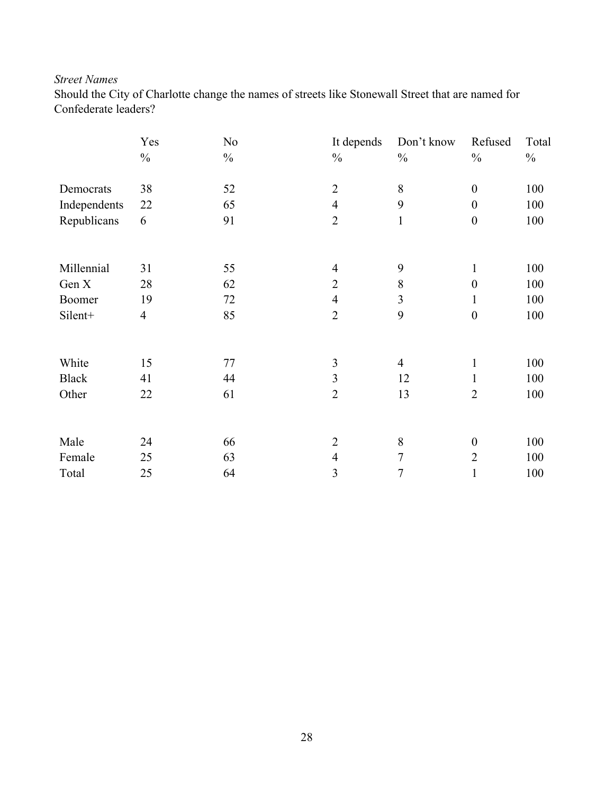## *Street Names*

Should the City of Charlotte change the names of streets like Stonewall Street that are named for Confederate leaders?

|              | Yes            | N <sub>0</sub> | It depends     | Don't know     | Refused          | Total |
|--------------|----------------|----------------|----------------|----------------|------------------|-------|
|              | $\frac{0}{0}$  | $\frac{0}{0}$  | $\frac{0}{0}$  | $\frac{0}{0}$  | $\frac{0}{0}$    | $\%$  |
| Democrats    | 38             | 52             | $\overline{2}$ | 8              | $\boldsymbol{0}$ | 100   |
| Independents | 22             | 65             | $\overline{4}$ | 9              | $\boldsymbol{0}$ | 100   |
| Republicans  | 6              | 91             | $\overline{2}$ | $\mathbf{1}$   | $\boldsymbol{0}$ | 100   |
|              |                |                |                |                |                  |       |
| Millennial   | 31             | 55             | $\overline{4}$ | 9              | 1                | 100   |
| Gen X        | 28             | 62             | $\sqrt{2}$     | 8              | $\boldsymbol{0}$ | 100   |
| Boomer       | 19             | 72             | $\overline{4}$ | $\overline{3}$ | 1                | 100   |
| Silent+      | $\overline{4}$ | 85             | $\overline{2}$ | 9              | $\boldsymbol{0}$ | 100   |
|              |                |                |                |                |                  |       |
| White        | 15             | 77             | $\mathfrak{Z}$ | $\overline{4}$ | $\mathbf{1}$     | 100   |
| <b>Black</b> | 41             | 44             | 3              | 12             | $\mathbf{1}$     | 100   |
| Other        | 22             | 61             | $\overline{2}$ | 13             | $\overline{2}$   | 100   |
| Male         | 24             | 66             | $\overline{2}$ | $8\,$          | $\boldsymbol{0}$ | 100   |
| Female       | 25             | 63             | $\overline{4}$ | $\overline{7}$ | $\overline{2}$   | 100   |
| Total        | 25             | 64             | 3              | 7              | 1                | 100   |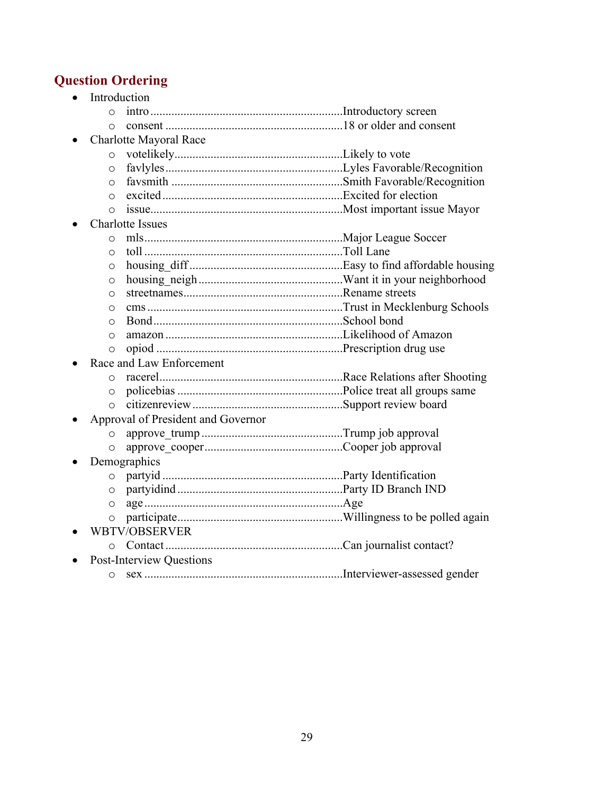# **Question Ordering**

|         | Introduction                       |  |
|---------|------------------------------------|--|
| $\circ$ |                                    |  |
| $\circ$ |                                    |  |
|         | Charlotte Mayoral Race             |  |
| $\circ$ |                                    |  |
| $\circ$ |                                    |  |
| $\circ$ |                                    |  |
| $\circ$ |                                    |  |
| $\circ$ |                                    |  |
|         | <b>Charlotte Issues</b>            |  |
| $\circ$ |                                    |  |
| $\circ$ |                                    |  |
| $\circ$ |                                    |  |
| $\circ$ |                                    |  |
| $\circ$ |                                    |  |
| $\circ$ |                                    |  |
| $\circ$ |                                    |  |
| $\circ$ |                                    |  |
| $\circ$ |                                    |  |
|         | Race and Law Enforcement           |  |
| $\circ$ |                                    |  |
| $\circ$ |                                    |  |
| $\circ$ |                                    |  |
|         | Approval of President and Governor |  |
| $\circ$ |                                    |  |
| $\circ$ |                                    |  |
|         | Demographics                       |  |
| $\circ$ |                                    |  |
| O       |                                    |  |
| $\circ$ |                                    |  |
| $\circ$ |                                    |  |
|         | <b>WBTV/OBSERVER</b>               |  |
| $\circ$ |                                    |  |
|         | <b>Post-Interview Questions</b>    |  |
| $\circ$ |                                    |  |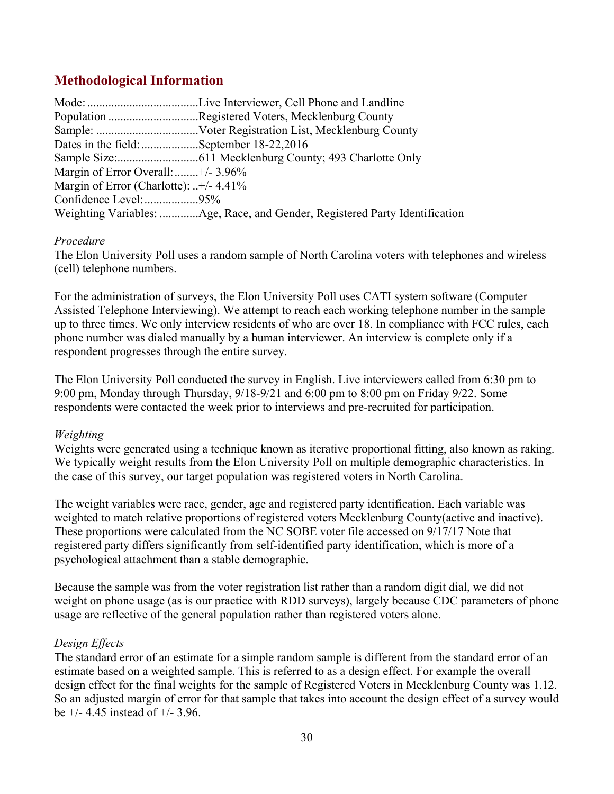# **Methodological Information**

|                                          | Population Registered Voters, Mecklenburg County                            |
|------------------------------------------|-----------------------------------------------------------------------------|
|                                          |                                                                             |
| Dates in the field: September 18-22,2016 |                                                                             |
|                                          |                                                                             |
| Margin of Error Overall:  +/- 3.96%      |                                                                             |
| Margin of Error (Charlotte): +/- 4.41%   |                                                                             |
| Confidence Level: 95%                    |                                                                             |
|                                          | Weighting Variables: Age, Race, and Gender, Registered Party Identification |

### *Procedure*

The Elon University Poll uses a random sample of North Carolina voters with telephones and wireless (cell) telephone numbers.

For the administration of surveys, the Elon University Poll uses CATI system software (Computer Assisted Telephone Interviewing). We attempt to reach each working telephone number in the sample up to three times. We only interview residents of who are over 18. In compliance with FCC rules, each phone number was dialed manually by a human interviewer. An interview is complete only if a respondent progresses through the entire survey.

The Elon University Poll conducted the survey in English. Live interviewers called from 6:30 pm to 9:00 pm, Monday through Thursday, 9/18-9/21 and 6:00 pm to 8:00 pm on Friday 9/22. Some respondents were contacted the week prior to interviews and pre-recruited for participation.

### *Weighting*

Weights were generated using a technique known as iterative proportional fitting, also known as raking. We typically weight results from the Elon University Poll on multiple demographic characteristics. In the case of this survey, our target population was registered voters in North Carolina.

The weight variables were race, gender, age and registered party identification. Each variable was weighted to match relative proportions of registered voters Mecklenburg County(active and inactive). These proportions were calculated from the NC SOBE voter file accessed on 9/17/17 Note that registered party differs significantly from self-identified party identification, which is more of a psychological attachment than a stable demographic.

Because the sample was from the voter registration list rather than a random digit dial, we did not weight on phone usage (as is our practice with RDD surveys), largely because CDC parameters of phone usage are reflective of the general population rather than registered voters alone.

### *Design Effects*

The standard error of an estimate for a simple random sample is different from the standard error of an estimate based on a weighted sample. This is referred to as a design effect. For example the overall design effect for the final weights for the sample of Registered Voters in Mecklenburg County was 1.12. So an adjusted margin of error for that sample that takes into account the design effect of a survey would be  $+/- 4.45$  instead of  $+/- 3.96$ .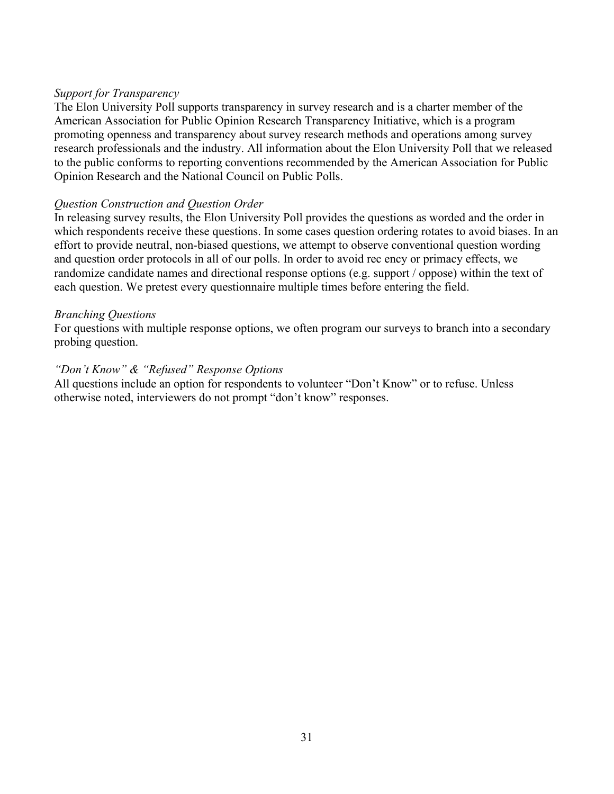### *Support for Transparency*

The Elon University Poll supports transparency in survey research and is a charter member of the American Association for Public Opinion Research Transparency Initiative, which is a program promoting openness and transparency about survey research methods and operations among survey research professionals and the industry. All information about the Elon University Poll that we released to the public conforms to reporting conventions recommended by the American Association for Public Opinion Research and the National Council on Public Polls.

#### *Question Construction and Question Order*

In releasing survey results, the Elon University Poll provides the questions as worded and the order in which respondents receive these questions. In some cases question ordering rotates to avoid biases. In an effort to provide neutral, non-biased questions, we attempt to observe conventional question wording and question order protocols in all of our polls. In order to avoid rec ency or primacy effects, we randomize candidate names and directional response options (e.g. support / oppose) within the text of each question. We pretest every questionnaire multiple times before entering the field.

#### *Branching Questions*

For questions with multiple response options, we often program our surveys to branch into a secondary probing question.

### *"Don't Know" & "Refused" Response Options*

All questions include an option for respondents to volunteer "Don't Know" or to refuse. Unless otherwise noted, interviewers do not prompt "don't know" responses.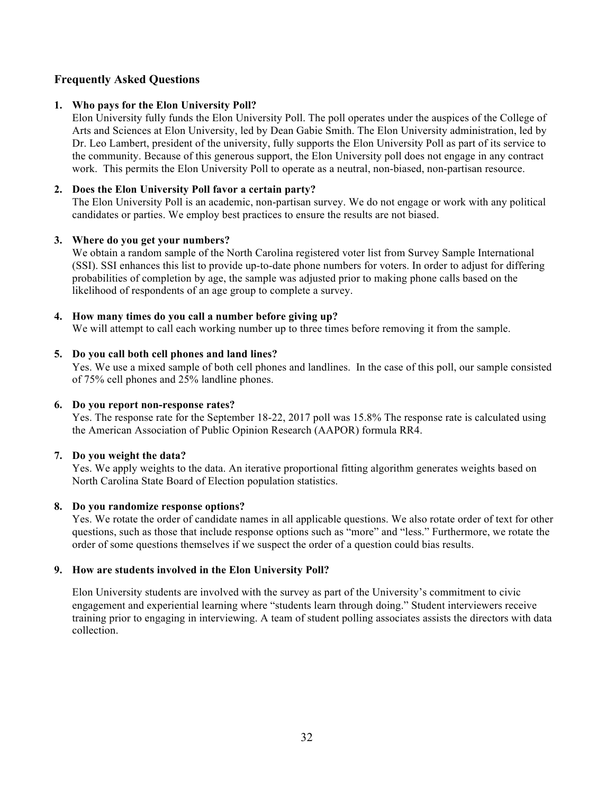### **Frequently Asked Questions**

#### **1. Who pays for the Elon University Poll?**

Elon University fully funds the Elon University Poll. The poll operates under the auspices of the College of Arts and Sciences at Elon University, led by Dean Gabie Smith. The Elon University administration, led by Dr. Leo Lambert, president of the university, fully supports the Elon University Poll as part of its service to the community. Because of this generous support, the Elon University poll does not engage in any contract work. This permits the Elon University Poll to operate as a neutral, non-biased, non-partisan resource.

#### **2. Does the Elon University Poll favor a certain party?**

The Elon University Poll is an academic, non-partisan survey. We do not engage or work with any political candidates or parties. We employ best practices to ensure the results are not biased.

#### **3. Where do you get your numbers?**

We obtain a random sample of the North Carolina registered voter list from Survey Sample International (SSI). SSI enhances this list to provide up-to-date phone numbers for voters. In order to adjust for differing probabilities of completion by age, the sample was adjusted prior to making phone calls based on the likelihood of respondents of an age group to complete a survey.

#### **4. How many times do you call a number before giving up?**

We will attempt to call each working number up to three times before removing it from the sample.

#### **5. Do you call both cell phones and land lines?**

Yes. We use a mixed sample of both cell phones and landlines. In the case of this poll, our sample consisted of 75% cell phones and 25% landline phones.

#### **6. Do you report non-response rates?**

Yes. The response rate for the September 18-22, 2017 poll was 15.8% The response rate is calculated using the American Association of Public Opinion Research (AAPOR) formula RR4.

#### **7. Do you weight the data?**

Yes. We apply weights to the data. An iterative proportional fitting algorithm generates weights based on North Carolina State Board of Election population statistics.

#### **8. Do you randomize response options?**

Yes. We rotate the order of candidate names in all applicable questions. We also rotate order of text for other questions, such as those that include response options such as "more" and "less." Furthermore, we rotate the order of some questions themselves if we suspect the order of a question could bias results.

#### **9. How are students involved in the Elon University Poll?**

Elon University students are involved with the survey as part of the University's commitment to civic engagement and experiential learning where "students learn through doing." Student interviewers receive training prior to engaging in interviewing. A team of student polling associates assists the directors with data collection.